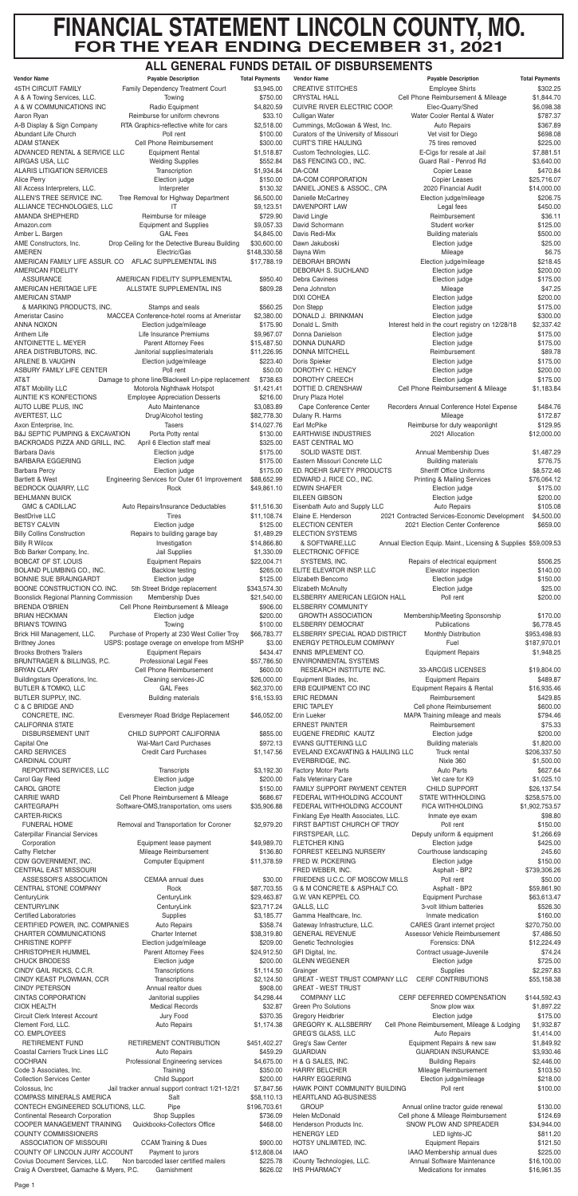# **FINANCIAL STATEMENT LINCOLN COUNTY, MO. FOR THE YEAR ENDING DECEMBER 31, 2021**

## **ALL GENERAL FUNDS DETAIL OF DISBURSEMENTS**

| <b>45TH CIRCUIT FAMILY</b>                                                  | <b>Payable Description</b>                                          | <b>Total Payments</b>     | <b>Vendor Name</b>                                            | <b>Payable Description</b>                                      | <b>Total Payments</b>       |
|-----------------------------------------------------------------------------|---------------------------------------------------------------------|---------------------------|---------------------------------------------------------------|-----------------------------------------------------------------|-----------------------------|
|                                                                             | Family Dependency Treatment Court                                   | \$3,945.00                | <b>CREATIVE STITCHES</b>                                      | <b>Employee Shirts</b>                                          | \$302.25                    |
| A & A Towing Services, LLC.<br>A & W COMMUNICATIONS INC                     | Towing<br>Radio Equipment                                           | \$750.00                  | <b>CRYSTAL HALL</b><br><b>CUIVRE RIVER ELECTRIC COOP.</b>     | Cell Phone Reimbursement & Mileage<br>Elec-Quarry/Shed          | \$1,844.70                  |
| Aaron Ryan                                                                  | Reimburse for uniform chevrons                                      | \$4,820.59<br>\$33.10     | Culligan Water                                                | Water Cooler Rental & Water                                     | \$6,098.38<br>\$787.37      |
| A-B Display & Sign Company                                                  | RTA Graphics-reflective white for cars                              | \$2,518.00                | Cummings, McGowan & West, Inc.                                | <b>Auto Repairs</b>                                             | \$367.89                    |
| Abundant Life Church                                                        | Poll rent                                                           | \$100.00                  | Curators of the University of Missouri                        | Vet visit for Diego                                             | \$698.08                    |
| <b>ADAM STANEK</b>                                                          | Cell Phone Reimbursement                                            | \$300.00                  | <b>CURT'S TIRE HAULING</b>                                    | 75 tires removed                                                | \$225.00                    |
| ADVANCED RENTAL & SERVICE LLC                                               | <b>Equipment Rental</b>                                             | \$1,518.87                | Custom Technologies, LLC.                                     | E-Cigs for resale at Jail                                       | \$7,881.51                  |
| AIRGAS USA, LLC<br><b>ALARIS LITIGATION SERVICES</b>                        | <b>Welding Supplies</b><br>Transcription                            | \$552.84<br>\$1,934.84    | D&S FENCING CO., INC.<br>DA-COM                               | Guard Rail - Penrod Rd<br>Copier Lease                          | \$3,640.00<br>\$470.84      |
| Alice Perry                                                                 | Election judge                                                      | \$150.00                  | DA-COM CORPORATION                                            | <b>Copier Leases</b>                                            | \$25,716.07                 |
| All Access Interpreters, LLC.                                               | Interpreter                                                         | \$130.32                  | DANIEL JONES & ASSOC., CPA                                    | 2020 Financial Audit                                            | \$14,000.00                 |
| ALLEN'S TREE SERVICE INC.                                                   | Tree Removal for Highway Department                                 | \$6,500.00                | Danielle McCartney                                            | Election judge/mileage                                          | \$206.75                    |
| ALLIANCE TECHNOLOGIES, LLC                                                  | IΤ                                                                  | \$9,123.51                | DAVENPORT LAW                                                 | Legal fees                                                      | \$450.00                    |
| AMANDA SHEPHERD                                                             | Reimburse for mileage                                               | \$729.90                  | David Lingle                                                  | Reimbursement                                                   | \$36.11                     |
| Amazon.com<br>Amber L. Bargen                                               | <b>Equipment and Supplies</b><br><b>GAL Fees</b>                    | \$9,057.33                | David Schormann<br>Davis Redi-Mix                             | Student worker<br><b>Building materials</b>                     | \$125.00<br>\$500.00        |
| AME Constructors, Inc.                                                      | Drop Ceiling for the Detective Bureau Building                      | \$4,845.00<br>\$30,600.00 | Dawn Jakuboski                                                | Election judge                                                  | \$25.00                     |
| <b>AMEREN</b>                                                               | Electric/Gas                                                        | \$148,330.58              | Dayna Wim                                                     | Mileage                                                         | \$6.75                      |
|                                                                             | AMERICAN FAMILY LIFE ASSUR. CO AFLAC SUPPLEMENTAL INS               | \$17,788.19               | <b>DEBORAH BROWN</b>                                          | Election judge/mileage                                          | \$218.45                    |
| <b>AMERICAN FIDELITY</b>                                                    |                                                                     |                           | DEBORAH S. SUCHLAND                                           | Election judge                                                  | \$200.00                    |
| <b>ASSURANCE</b>                                                            | AMERICAN FIDELITY SUPPLEMENTAL                                      | \$950.40                  | <b>Debra Caviness</b>                                         | Election judge                                                  | \$175.00                    |
| AMERICAN HERITAGE LIFE                                                      | ALLSTATE SUPPLEMENTAL INS                                           | \$809.28                  | Dena Johnston                                                 | Mileage                                                         | \$47.25                     |
| <b>AMERICAN STAMP</b>                                                       |                                                                     |                           | <b>DIXI COHEA</b>                                             | Election judge                                                  | \$200.00                    |
| & MARKING PRODUCTS, INC.<br>Ameristar Casino                                | Stamps and seals<br>MACCEA Conference-hotel rooms at Ameristar      | \$560.25<br>\$2,380.00    | Don Stepp<br>DONALD J. BRINKMAN                               | Election judge<br>Election judge                                | \$175.00<br>\$300.00        |
| ANNA NOXON                                                                  | Election judge/mileage                                              | \$175.90                  | Donald L. Smith                                               | Interest held in the court registry on 12/28/18                 | \$2,337.42                  |
| Anthem Life                                                                 | Life Insurance Premiums                                             | \$9,967.07                | Donna Danielson                                               | Election judge                                                  | \$175.00                    |
| ANTOINETTE L. MEYER                                                         | <b>Parent Attorney Fees</b>                                         | \$15,487.50               | DONNA DUNARD                                                  | Election judge                                                  | \$175.00                    |
| AREA DISTRIBUTORS, INC.                                                     | Janitorial supplies/materials                                       | \$11,226.95               | <b>DONNA MITCHELL</b>                                         | Reimbursement                                                   | \$89.78                     |
| ARLENE B. VAUGHN                                                            | Election judge/mileage                                              | \$223.40                  | Doris Spieker                                                 | Election judge                                                  | \$175.00                    |
| ASBURY FAMILY LIFE CENTER                                                   | Poll rent                                                           | \$50.00                   | DOROTHY C. HENCY                                              | Election judge                                                  | \$200.00                    |
| AT&T                                                                        | Damage to phone line/Blackwell Ln-pipe replacement                  | \$738.63                  | DOROTHY CREECH<br>DOTTIE D. CRENSHAW                          | Election judge                                                  | \$175.00<br>\$1,183.84      |
| <b>AT&amp;T Mobility LLC</b><br><b>AUNTIE K'S KONFECTIONS</b>               | Motorola Nighthawk Hotspot<br><b>Employee Appreciation Desserts</b> | \$1,421.41<br>\$216.00    | Drury Plaza Hotel                                             | Cell Phone Reimbursement & Mileage                              |                             |
| AUTO LUBE PLUS, INC                                                         | Auto Maintenance                                                    | \$3,083.89                | Cape Conference Center                                        | Recorders Annual Conference Hotel Expense                       | \$484.76                    |
| AVERTEST, LLC                                                               | Drug/Alcohol testing                                                | \$82,778.30               | Dulany R. Harms                                               | Mileage                                                         | \$172.87                    |
| Axon Enterprise, Inc.                                                       | Tasers                                                              | \$14,027.76               | Earl McPike                                                   | Reimburse for duty weaponlight                                  | \$129.95                    |
| <b>B&amp;J SEPTIC PUMPING &amp; EXCAVATION</b>                              | Porta Potty rental                                                  | \$130.00                  | <b>EARTHWISE INDUSTRIES</b>                                   | 2021 Allocation                                                 | \$12,000.00                 |
| BACKROADS PIZZA AND GRILL, INC.                                             | April 6 Election staff meal                                         | \$325.00                  | <b>EAST CENTRAL MO</b>                                        |                                                                 |                             |
| Barbara Davis                                                               | Election judge                                                      | \$175.00                  | SOLID WASTE DIST.                                             | Annual Membership Dues                                          | \$1,487.29                  |
| <b>BARBARA EGGERING</b><br>Barbara Percy                                    | Election judge<br>Election judge                                    | \$175.00<br>\$175.00      | Eastern Missouri Concrete LLC<br>ED. ROEHR SAFETY PRODUCTS    | <b>Building materials</b><br><b>Sheriff Office Uniforms</b>     | \$776.75<br>\$8,572.46      |
| <b>Bartlett &amp; West</b>                                                  | Engineering Services for Outer 61 Improvement                       | \$88,652.99               | EDWARD J. RICE CO., INC.                                      | <b>Printing &amp; Mailing Services</b>                          | \$76,064.12                 |
| BEDROCK QUARRY, LLC                                                         | Rock                                                                | \$49,861.10               | <b>EDWIN SHAFER</b>                                           | Election judge                                                  | \$175.00                    |
| <b>BEHLMANN BUICK</b>                                                       |                                                                     |                           | <b>EILEEN GIBSON</b>                                          | Election judge                                                  | \$200.00                    |
| <b>GMC &amp; CADILLAC</b>                                                   | Auto Repairs/Insurance Deductables                                  | \$11,516.30               | Eisenbath Auto and Supply LLC                                 | <b>Auto Repairs</b>                                             | \$105.08                    |
| <b>BestDrive LLC</b>                                                        | Tires                                                               | \$11,108.74               | Elaine E. Henderson                                           | 2021 Contracted Services-Economic Development                   | \$4,500.00                  |
| <b>BETSY CALVIN</b>                                                         | Election judge                                                      | \$125.00                  | <b>ELECTION CENTER</b>                                        | 2021 Election Center Conference                                 | \$659.00                    |
| <b>Billy Collins Construction</b>                                           | Repairs to building garage bay                                      | \$1,489.29                | <b>ELECTION SYSTEMS</b>                                       |                                                                 |                             |
| <b>Billy R Wilcox</b><br>Bob Barker Company, Inc.                           | Investigation<br>Jail Supplies                                      | \$14,866.80<br>\$1,330.09 | & SOFTWARE, LLC<br>ELECTRONIC OFFICE                          | Annual Election Equip. Maint., Licensing & Supplies \$59,009.53 |                             |
| <b>BOBCAT OF ST. LOUIS</b>                                                  | <b>Equipment Repairs</b>                                            | \$22,004.71               | SYSTEMS, INC.                                                 | Repairs of electrical equipment                                 | \$506.25                    |
| BOLAND PLUMBING CO., INC.                                                   | <b>Backlow testing</b>                                              | \$265.00                  | ELITE ELEVATOR INSP. LLC                                      | Elevator inspection                                             | \$140.00                    |
| BONNIE SUE BRAUNGARDT                                                       | Election judge                                                      | \$125.00                  | Elizabeth Bencomo                                             | Election judge                                                  | \$150.00                    |
| BOONE CONSTRUCTION CO. INC.                                                 | 5th Street Bridge replacement                                       | \$343,574.30              | <b>Elizabeth McAnulty</b>                                     | Election judge                                                  | \$25.00                     |
| Boonslick Regional Planning Commission                                      | Membership Dues                                                     | \$21,540.00               | ELSBERRY AMERICAN LEGION HALL                                 | Poll rent                                                       | \$200.00                    |
| <b>BRENDA O'BRIEN</b>                                                       | Cell Phone Reimbursement & Mileage                                  | \$906.00                  | <b>ELSBERRY COMMUNITY</b>                                     |                                                                 |                             |
| <b>BRIAN HECKMAN</b><br><b>BRIAN'S TOWING</b>                               | Election judge<br>Towing                                            | \$200.00<br>\$100.00      | <b>GROWTH ASSOCIATION</b><br><b>ELSBERRY DEMOCRAT</b>         | Membership/Meeting Sponsorship<br>Publications                  | \$170.00<br>\$6,778.45      |
| Brick Hill Management, LLC.                                                 | Purchase of Property at 230 West Collier Troy                       | \$66,783.77               | ELSBERRY SPECIAL ROAD DISTRICT                                | Monthly Distribution                                            | \$953,498.93                |
| <b>Brittney Jones</b>                                                       | USPS: postage overage on envelope from MSHP                         | \$3.00                    | ENERGY PETROLEUM COMPANY                                      | Fuel                                                            | \$187,970.01                |
| <b>Brooks Brothers Trailers</b>                                             | <b>Equipment Repairs</b>                                            | \$434.47                  | ENNIS IMPLEMENT CO.                                           | <b>Equipment Repairs</b>                                        | \$1,948.25                  |
| BRUNTRAGER & BILLINGS, P.C.                                                 | Professional Legal Fees                                             | \$57,786.50               | <b>ENVIRONMENTAL SYSTEMS</b>                                  |                                                                 |                             |
| <b>BRYAN CLARY</b>                                                          | Cell Phone Reimbursement                                            | \$600.00                  | RESEARCH INSTITUTE INC.                                       | 33-ARCGIS LICENSES                                              | \$19,804.00                 |
| Buildingstars Operations, Inc.                                              | Cleaning services-JC                                                | \$26,000.00               | Equipment Blades, Inc.                                        | <b>Equipment Repairs</b>                                        | \$489.87                    |
| <b>BUTLER &amp; TOMKO, LLC</b>                                              | <b>GAL Fees</b>                                                     | \$62,370.00               | ERB EQUIPMENT CO INC                                          | Equipment Repairs & Rental<br>Reimbursement                     | \$16,935.46                 |
| BUTLER SUPPLY, INC.<br>C & C BRIDGE AND                                     | <b>Building materials</b>                                           | \$16,153.93               | <b>ERIC REDMAN</b><br><b>ERIC TAPLEY</b>                      | Cell phone Reimbursement                                        | \$429.85<br>\$600.00        |
| CONCRETE, INC.                                                              | Eversmeyer Road Bridge Replacement                                  | \$46,052.00               | Erin Lueker                                                   | MAPA Training mileage and meals                                 | \$794.46                    |
| <b>CALIFORNIA STATE</b>                                                     |                                                                     |                           | <b>ERNEST PAINTER</b>                                         | Reimbursement                                                   | \$75.33                     |
| DISBURSEMENT UNIT                                                           | CHILD SUPPORT CALIFORNIA                                            | \$855.00                  | EUGENE FREDRIC KAUTZ                                          | Election judge                                                  | \$200.00                    |
| Capital One                                                                 | <b>Wal-Mart Card Purchases</b>                                      | \$972.13                  | <b>EVANS GUTTERING LLC</b>                                    | <b>Building materials</b>                                       | \$1,820.00                  |
| <b>CARD SERVICES</b>                                                        | <b>Credit Card Purchases</b>                                        | \$1,147.56                | EVELAND EXCAVATING & HAULING LLC                              | Truck rental                                                    |                             |
| CARDINAL COURT                                                              |                                                                     |                           |                                                               |                                                                 | \$206,337.50                |
|                                                                             |                                                                     |                           | EVERBRIDGE, INC.                                              | Nixle 360                                                       | \$1,500.00                  |
| REPORTING SERVICES, LLC                                                     | Transcripts                                                         | \$3,192.30                | Factory Motor Parts                                           | <b>Auto Parts</b>                                               | \$627.64                    |
| Carol Gay Reed<br>CAROL GROTE                                               | Election judge                                                      | \$200.00                  | <b>Falls Veterinary Care</b><br>FAMILY SUPPORT PAYMENT CENTER | Vet care for K9<br><b>CHILD SUPPORT</b>                         | \$1,025.10                  |
| <b>CARRIE WARD</b>                                                          | Election judge<br>Cell Phone Reimbursement & Mileage                | \$150.00<br>\$686.67      | FEDERAL WITHHOLDING ACCOUNT                                   | <b>STATE WITHHOLDING</b>                                        | \$26,137.54<br>\$258,575.00 |
| CARTEGRAPH                                                                  | Software-OMS, transportation, oms users                             | \$35,906.88               | FEDERAL WITHHOLDING ACCOUNT                                   | <b>FICA WITHHOLDING</b>                                         | \$1,902,753.57              |
| <b>CARTER-RICKS</b>                                                         |                                                                     |                           | Finklang Eye Health Associates, LLC.                          | Inmate eye exam                                                 | \$98.80                     |
| <b>FUNERAL HOME</b>                                                         | Removal and Transportation for Coroner                              | \$2,979.20                | FIRST BAPTIST CHURCH OF TROY                                  | Poll rent                                                       | \$150.00                    |
| <b>Caterpillar Financial Services</b>                                       |                                                                     |                           | FIRSTSPEAR, LLC.                                              | Deputy uniform & equipment                                      | \$1,266.69                  |
| Corporation<br>Cathy Fletcher                                               | Equipment lease payment<br>Mileage Reimbursement                    | \$49,989.70<br>\$136.80   | <b>FLETCHER KING</b><br>FORREST KEELING NURSERY               | Election judge<br>Courthouse landscaping                        | \$425.00<br>245.60          |
| CDW GOVERNMENT, INC.                                                        | <b>Computer Equipment</b>                                           | \$11,378.59               | FRED W. PICKERING                                             | Election judge                                                  | \$150.00                    |
| <b>CENTRAL EAST MISSOURI</b>                                                |                                                                     |                           | FRED WEBER, INC.                                              | Asphalt - BP2                                                   | \$739,306.26                |
| ASSESSOR'S ASSOCIATION                                                      | <b>CEMAA</b> annual dues                                            | \$30.00                   | FRIEDENS U.C.C. OF MOSCOW MILLS                               | Poll rent                                                       | \$50.00                     |
| CENTRAL STONE COMPANY                                                       | Rock                                                                | \$87,703.55               | G & M CONCRETE & ASPHALT CO.                                  | Asphalt - BP2                                                   | \$59,861.90                 |
| CenturyLink                                                                 | CenturyLink                                                         | \$29,463.87               | G.W. VAN KEPPEL CO.                                           | <b>Equipment Purchase</b>                                       | \$63,613.47                 |
| <b>CENTURYLINK</b><br><b>Certified Laboratories</b>                         | CenturyLink                                                         | \$23,717.24<br>\$3,185.77 | GALLS, LLC<br>Gamma Healthcare, Inc.                          | 3-volt lithium batteries<br>Inmate medication                   | \$526.30<br>\$160.00        |
| CERTIFIED POWER, INC. COMPANIES                                             | Supplies<br>Auto Repairs                                            | \$358.74                  | Gateway Infrastructure, LLC.                                  | <b>CARES</b> Grant internet project                             | \$270,750.00                |
| <b>CHARTER COMMUNICATIONS</b>                                               | <b>Charter Internet</b>                                             | \$38,319.80               | <b>GENERAL REVENUE</b>                                        | Assessor Vehicle Reimbursement                                  | \$7,486.50                  |
| <b>CHRISTINE KOPFF</b>                                                      | Election judge/mileage                                              | \$209.00                  | Genetic Technologies                                          | Forensics: DNA                                                  | \$12,224.49                 |
| <b>CHRISTOPHER HUMMEL</b>                                                   | Parent Attorney Fees                                                | \$24,912.50               | GFI Digital, Inc.                                             | Contract usuage-Juvenile                                        | \$74.24                     |
| <b>CHUCK BRODESS</b>                                                        | Election judge                                                      | \$200.00                  | <b>GLENN WEGENER</b>                                          | Election judge                                                  | \$725.00                    |
| CINDY GAIL RICKS, C.C.R.<br>CINDY KEAST PLOWMAN, CCR                        | Transcriptions<br>Transcriptions                                    | \$1,114.50<br>\$2,124.50  | Grainger<br>GREAT - WEST TRUST COMPANY LLC                    | Supplies<br><b>CERF CONTRIBUTIONS</b>                           | \$2,297.83<br>\$55,158.38   |
| <b>CINDY PETERSON</b>                                                       | Annual realtor dues                                                 | \$908.00                  | <b>GREAT - WEST TRUST</b>                                     |                                                                 |                             |
| <b>CINTAS CORPORATION</b>                                                   | Janitorial supplies                                                 | \$4,298.44                | <b>COMPANY LLC</b>                                            | CERF DEFERRED COMPENSATION                                      | \$144,592.43                |
| <b>CIOX HEALTH</b>                                                          | <b>Medical Records</b>                                              | \$32.87                   | <b>Green Pro Solutions</b>                                    | Snow plow wax                                                   | \$1,897.22                  |
| Circuit Clerk Interest Account                                              | Jury Food                                                           | \$370.35                  | <b>Gregory Heidbrier</b>                                      | Election judge                                                  | \$175.00                    |
| Clement Ford, LLC.                                                          | <b>Auto Repairs</b>                                                 | \$1,174.38                | <b>GREGORY K. ALLSBERRY</b>                                   | Cell Phone Reimbursement, Mileage & Lodging                     | \$1,932.87                  |
| CO. EMPLOYEES                                                               |                                                                     |                           | GREG'S GLASS, LLC                                             | Auto Repairs                                                    | \$1,414.00                  |
| <b>RETIREMENT FUND</b>                                                      | RETIREMENT CONTRIBUTION                                             | \$451,402.27              | Greg's Saw Center                                             | Equipment Repairs & new saw                                     | \$1,849.92                  |
| <b>Coastal Carriers Truck Lines LLC</b><br><b>COCHRAN</b>                   | <b>Auto Repairs</b>                                                 | \$459.29                  | <b>GUARDIAN</b>                                               | <b>GUARDIAN INSURANCE</b>                                       | \$3,930.46                  |
| Code 3 Associates, Inc.                                                     | Professional Engineering services<br>Training                       | \$4,675.00<br>\$350.00    | H & G SALES, INC.<br><b>HARRY BELCHER</b>                     | <b>Building Repairs</b><br>Mileage Reimbursement                | \$2,446.00<br>\$103.50      |
| <b>Collection Services Center</b>                                           | <b>Child Support</b>                                                | \$200.00                  | <b>HARRY EGGERING</b>                                         | Election judge/mileage                                          | \$218.00                    |
| Colossus, Inc                                                               | Jail tracker annual support contract 1/21-12/21                     | \$7,847.56                | HAWK POINT COMMUNITY BUILDING                                 | Poll rent                                                       | \$100.00                    |
| <b>COMPASS MINERALS AMERICA</b>                                             | Salt                                                                | \$58,110.13               | <b>HEARTLAND AG-BUSINESS</b>                                  |                                                                 |                             |
| CONTECH ENGINEERED SOLUTIONS, LLC.                                          | Pipe                                                                | \$196,703.61              | <b>GROUP</b>                                                  | Annual online tractor guide renewal                             | \$130.00                    |
| <b>Continental Research Corporation</b>                                     | Shop Supplies                                                       | \$736.09                  | Helen McDonald                                                | Cell phone & Mileage Reimbursement                              | \$124.69                    |
| COOPER MANAGEMENT TRAINING<br><b>COUNTY COMMISSIONERS</b>                   | Quickbooks-Collectors Office                                        | \$468.00                  | Henderson Products Inc.<br><b>HENERGY LED</b>                 | SNOW PLOW AND SPREADER                                          | \$34,944.00<br>\$811.20     |
| ASSOCIATION OF MISSOURI                                                     | <b>CCAM Training &amp; Dues</b>                                     | \$900.00                  | HOTSY UNLIMITED, INC.                                         | LED lights-JC<br><b>Equipment Repairs</b>                       | \$121.50                    |
| COUNTY OF LINCOLN JURY ACCOUNT                                              | Payment to jurors                                                   | \$12,808.04               | <b>IAAO</b>                                                   | IAAO Membership annual dues                                     | \$225.00                    |
| Covius Document Services, LLC.<br>Craig A Overstreet, Gamache & Myers, P.C. | Non barcoded laser certified mailers<br>Garnishment                 | \$225.78<br>\$626.02      | iCounty Technologies, LLC.<br><b>IHS PHARMACY</b>             | Annual Software Maintenance<br>Medications for inmates          | \$16,100.00<br>\$16,961.35  |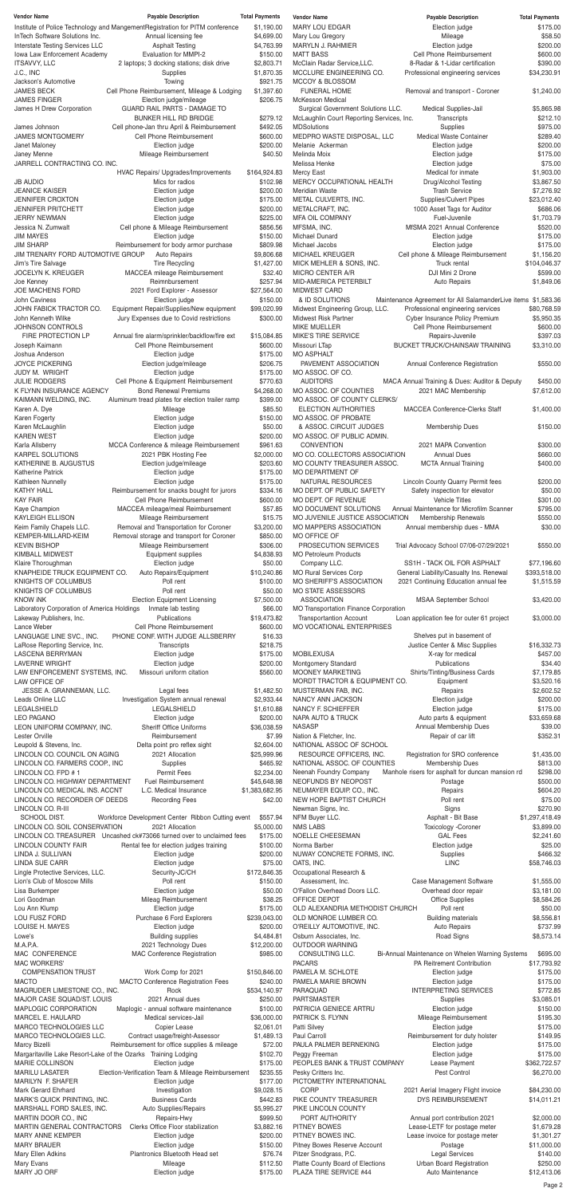| <b>Vendor Name</b>                                               | <b>Payable Description</b>                                                                                    | <b>Total Payments</b>         | <b>Vendor Name</b>                                          | <b>Payable Description</b>                                    | <b>Total Payments</b>        |
|------------------------------------------------------------------|---------------------------------------------------------------------------------------------------------------|-------------------------------|-------------------------------------------------------------|---------------------------------------------------------------|------------------------------|
| InTech Software Solutions Inc.                                   | Institute of Police Technology and Mangement Registration for PITM conference<br>Annual licensing fee         | \$1,190.00<br>\$4,699.00      | <b>MARY LOU EDGAR</b><br>Mary Lou Gregory                   | Election judge<br>Mileage                                     | \$175.00<br>\$58.50          |
| Interstate Testing Services LLC                                  | <b>Asphalt Testing</b>                                                                                        | \$4,763.99                    | MARYLN J. RAHMIER                                           | Election judge                                                | \$200.00                     |
| Iowa Law Enforcement Academy<br><b>ITSAVVY, LLC</b>              | Evaluation for MMPI-2<br>2 laptops; 3 docking stations; disk drive                                            | \$150.00<br>\$2,803.71        | <b>MATT BASS</b><br>McClain Radar Service, LLC.             | Cell Phone Reimbursement<br>8-Radar & 1-Lidar certification   | \$600.00<br>\$390.00         |
| J.C., INC                                                        | Supplies                                                                                                      | \$1,870.35                    | MCCLURE ENGINEERING CO.                                     | Professional engineering services                             | \$34,230.91                  |
| Jackson's Automotive                                             | Towing                                                                                                        | \$921.75                      | MCCOY & BLOSSOM                                             |                                                               |                              |
| <b>JAMES BECK</b><br><b>JAMES FINGER</b>                         | Cell Phone Reimbursement, Mileage & Lodging<br>Election judge/mileage                                         | \$1,397.60<br>\$206.75        | <b>FUNERAL HOME</b><br><b>McKesson Medical</b>              | Removal and transport - Coroner                               | \$1,240.00                   |
| James H Drew Corporation                                         | <b>GUARD RAIL PARTS - DAMAGE TO</b>                                                                           |                               | Surgical Government Solutions LLC.                          | Medical Supplies-Jail                                         | \$5,865.98                   |
|                                                                  | <b>BUNKER HILL RD BRIDGE</b>                                                                                  | \$279.12                      | McLaughlin Court Reporting Services, Inc.                   | Transcripts                                                   | \$212.10                     |
| James Johnson<br><b>JAMES MONTGOMERY</b>                         | Cell phone-Jan thru April & Reimbursement<br>Cell Phone Reimbursement                                         | \$492.05<br>\$600.00          | <b>MDSolutions</b><br>MEDPRO WASTE DISPOSAL, LLC            | Supplies<br><b>Medical Waste Container</b>                    | \$975.00<br>\$289.40         |
| Janet Maloney                                                    | Election judge                                                                                                | \$200.00                      | Melanie Ackerman                                            | Election judge                                                | \$200.00                     |
| Janey Menne                                                      | Mileage Reimbursement                                                                                         | \$40.50                       | Melinda Moix                                                | Election judge                                                | \$175.00                     |
| JARRELL CONTRACTING CO. INC.                                     | HVAC Repairs/ Upgrades/Improvements                                                                           | \$164,924.83                  | Melissa Henke<br>Mercy East                                 | Election judge<br>Medical for inmate                          | \$75.00<br>\$1,903.00        |
| <b>JB AUDIO</b>                                                  | Mics for radios                                                                                               | \$102.98                      | MERCY OCCUPATIONAL HEALTH                                   | Drug/Alcohol Testing                                          | \$3,867.50                   |
| <b>JEANICE KAISER</b><br>JENNIFER CROXTON                        | Election judge<br>Election judge                                                                              | \$200.00<br>\$175.00          | <b>Meridian Waste</b><br>METAL CULVERTS, INC.               | <b>Trash Service</b><br><b>Supplies/Culvert Pipes</b>         | \$7,276.92<br>\$23,012.40    |
| <b>JENNIFER PRITCHETT</b>                                        | Election judge                                                                                                | \$200.00                      | METALCRAFT, INC.                                            | 1000 Asset Tags for Auditor                                   | \$686.06                     |
| <b>JERRY NEWMAN</b>                                              | Election judge                                                                                                | \$225.00                      | <b>MFA OIL COMPANY</b>                                      | Fuel-Juvenile                                                 | \$1,703.79                   |
| Jessica N. Zumwalt<br><b>JIM MAYES</b>                           | Cell phone & Mileage Reimbursement<br>Election judge                                                          | \$856.56<br>\$150.00          | MFSMA, INC.<br>Michael Dunard                               | MfSMA 2021 Annual Conference<br>Election judge                | \$520.00<br>\$175.00         |
| <b>JIM SHARP</b>                                                 | Reimbursement for body armor purchase                                                                         | \$809.98                      | Michael Jacobs                                              | Election judge                                                | \$175.00                     |
| JIM TRENARY FORD AUTOMOTIVE GROUP<br>Jim's Tire Salvage          | <b>Auto Repairs</b><br><b>Tire Recycling</b>                                                                  | \$9,806.68<br>\$1,427.00      | <b>MICHAEL KREUGER</b><br>MICK MEHLER & SONS, INC.          | Cell phone & Mileage Reimbursement<br>Truck rental            | \$1,156.20<br>\$104,046.37   |
| <b>JOCELYN K. KREUGER</b>                                        | MACCEA mileage Reimbursement                                                                                  | \$32.40                       | MICRO CENTER A/R                                            | DJI Mini 2 Drone                                              | \$599.00                     |
| Joe Kenney                                                       | Reimnbursement                                                                                                | \$257.94                      | MID-AMERICA PETERBILT                                       | <b>Auto Repairs</b>                                           | \$1,849.06                   |
| JOE MACHENS FORD<br><b>John Caviness</b>                         | 2021 Ford Explorer - Assessor<br>Election judge                                                               | \$27,564.00<br>\$150.00       | MIDWEST CARD<br>& ID SOLUTIONS                              | Maintenance Agreement for All SalamanderLive items \$1,583.36 |                              |
| JOHN FABICK TRACTOR CO.                                          | Equipment Repair/Supplies/New equipment                                                                       | \$99,020.99                   | Midwest Engineering Group, LLC.                             | Professional engineering services                             | \$80,768.59                  |
| John Kenneth Wilke                                               | Jury Expenses due to Covid restrictions                                                                       | \$300.00                      | <b>Midwest Risk Partner</b>                                 | Cyber Insurance Policy Premium                                | \$5,950.35                   |
| <b>JOHNSON CONTROLS</b><br>FIRE PROTECTION LP                    | Annual fire alarm/sprinkler/backflow/fire ext                                                                 | \$15,084.85                   | <b>MIKE MUELLER</b><br>MIKE'S TIRE SERVICE                  | Cell Phone Reimbursement<br>Repairs-Juvenile                  | \$600.00<br>\$397.03         |
| Joseph Kaimann                                                   | Cell Phone Reimbursement                                                                                      | \$600.00                      | Missouri LTap                                               | <b>BUCKET TRUCK/CHAINSAW TRAINING</b>                         | \$3,310.00                   |
| Joshua Anderson                                                  | Election judge                                                                                                | \$175.00                      | <b>MO ASPHALT</b>                                           |                                                               |                              |
| <b>JOYCE PICKERING</b><br>JUDY M. WRIGHT                         | Election judge/mileage<br>Election judge                                                                      | \$206.75<br>\$175.00          | PAVEMENT ASSOCIATION<br>MO ASSOC. OF CO.                    | Annual Conference Registration                                | \$550.00                     |
| <b>JULIE RODGERS</b>                                             | Cell Phone & Equipment Reimbursement                                                                          | \$770.63                      | <b>AUDITORS</b>                                             | MACA Annual Training & Dues: Auditor & Deputy                 | \$450.00                     |
| K FLYNN INSURANCE AGENCY<br>KAIMANN WELDING, INC.                | <b>Bond Renewal Premiums</b><br>Aluminum tread plates for election trailer ramp                               | \$4,268.00<br>\$399.00        | MO ASSOC. OF COUNTIES<br>MO ASSOC. OF COUNTY CLERKS/        | 2021 MAC Membership                                           | \$7,612.00                   |
| Karen A. Dye                                                     | Mileage                                                                                                       | \$85.50                       | <b>ELECTION AUTHORITIES</b>                                 | <b>MACCEA Conference-Clerks Staff</b>                         | \$1,400.00                   |
| Karen Fogerty                                                    | Election judge                                                                                                | \$150.00                      | MO ASSOC. OF PROBATE                                        |                                                               |                              |
| Karen McLaughlin<br><b>KAREN WEST</b>                            | Election judge<br>Election judge                                                                              | \$50.00<br>\$200.00           | & ASSOC. CIRCUIT JUDGES<br>MO ASSOC. OF PUBLIC ADMIN.       | <b>Membership Dues</b>                                        | \$150.00                     |
| Karla Allsberry                                                  | MCCA Conference & mileage Reimbursement                                                                       | \$961.63                      | <b>CONVENTION</b>                                           | 2021 MAPA Convention                                          | \$300.00                     |
| <b>KARPEL SOLUTIONS</b><br>KATHERINE B. AUGUSTUS                 | 2021 PBK Hosting Fee<br>Election judge/mileage                                                                | \$2,000.00<br>\$203.60        | MO CO. COLLECTORS ASSOCIATION<br>MO COUNTY TREASURER ASSOC. | <b>Annual Dues</b><br><b>MCTA Annual Training</b>             | \$660.00<br>\$400.00         |
| <b>Katherine Patrick</b>                                         | Election judge                                                                                                | \$175.00                      | MO DEPARTMENT OF                                            |                                                               |                              |
| Kathleen Nunnelly                                                | Election judge                                                                                                | \$175.00                      | NATURAL RESOURCES                                           | Lincoln County Quarry Permit fees                             | \$200.00                     |
| <b>KATHY HALL</b><br><b>KAY FAIR</b>                             | Reimbursement for snacks bought for jurors<br>Cell Phone Reimbursement                                        | \$334.16<br>\$600.00          | MO DEPT. OF PUBLIC SAFETY<br>MO DEPT. OF REVENUE            | Safety inspection for elevator<br><b>Vehicle Titles</b>       | \$50.00<br>\$301.00          |
| Kaye Champion                                                    | MACCEA mileage/meal Reimbursement                                                                             | \$57.85                       | MO DOCUMENT SOLUTIONS                                       | Annual Maintenance for Microfilm Scanner                      | \$795.00                     |
| <b>KAYLEIGH ELLISON</b>                                          | Mileage Reimbursement                                                                                         | \$15.75                       | MO JUVENILE JUSTICE ASSOCIATION                             | Membership Renewals                                           | \$550.00                     |
| Keim Family Chapels LLC.<br>KEMPER-MILLARD-KEIM                  | Removal and Transportation for Coroner<br>Removal storage and transport for Coroner                           | \$3,200.00<br>\$850.00        | MO MAPPERS ASSOCIATION<br>MO OFFICE OF                      | Annual membership dues - MMA                                  | \$30.00                      |
| <b>KEVIN BISHOP</b>                                              | Mileage Reimbursement                                                                                         | \$306.00                      | PROSECUTION SERVICES                                        | Trial Advocacy School 07/06-07/29/2021                        | \$550.00                     |
| <b>KIMBALL MIDWEST</b><br>Klaire Thoroughman                     | Equipment supplies<br>Election judge                                                                          | \$4,838.93<br>\$50.00         | <b>MO Petroleum Products</b><br>Company LLC.                | SS1H - TACK OIL FOR ASPHALT                                   | \$77,196.60                  |
| KNAPHEIDE TRUCK EQUIPMENT CO.                                    | Auto Repairs/Equipment                                                                                        | \$10,240.86                   | <b>MO Rural Services Corp</b>                               | General Liability/Casualty Ins. Renewal                       | \$393,518.00                 |
| KNIGHTS OF COLUMBUS                                              | Poll rent                                                                                                     | \$100.00                      | MO SHERIFF'S ASSOCIATION                                    | 2021 Continuing Education annual fee                          | \$1,515.59                   |
| KNIGHTS OF COLUMBUS<br><b>KNOW INK</b>                           | Poll rent<br><b>Election Equipment Licensing</b>                                                              | \$50.00<br>\$7,500.00         | <b>MO STATE ASSESSORS</b><br><b>ASSOCIATION</b>             | MSAA September School                                         | \$3,420.00                   |
| Laboratory Corporation of America Holdings                       | Inmate lab testing                                                                                            | \$66.00                       | <b>MO Transportation Finance Corporation</b>                |                                                               |                              |
| Lakeway Publishers, Inc.                                         | Publications                                                                                                  | \$19,473.82                   | <b>Transportantion Account</b>                              | Loan application fee for outer 61 project                     | \$3,000.00                   |
| Lance Weber<br>LANGUAGE LINE SVC., INC.                          | Cell Phone Reimbursement<br>PHONE CONF. WITH JUDGE ALLSBERRY                                                  | \$600.00<br>\$16.33           | MO VOCATIONAL ENTERPRISES                                   | Shelves put in basement of                                    |                              |
| LaRose Reporting Service, Inc.                                   | Transcripts                                                                                                   | \$218.75                      |                                                             | Justice Center & Misc Supplies                                | \$16,332.73                  |
| LASCENA BERRYMAN<br><b>LAVERNE WRIGHT</b>                        | Election judge<br>Election judge                                                                              | \$175.00<br>\$200.00          | <b>MOBILEXUSA</b><br>Montgomery Standard                    | X-ray for medical<br>Publications                             | \$457.00<br>\$34.40          |
| LAW ENFORCEMENT SYSTEMS, INC.                                    | Missouri uniform citation                                                                                     | \$560.00                      | <b>MOONEY MARKETING</b>                                     | Shirts/Tinting/Business Cards                                 | \$7,179.85                   |
| LAW OFFICE OF                                                    |                                                                                                               |                               | MORDT TRACTOR & EQUIPMENT CO.                               | Equipment                                                     | \$3,520.16                   |
| JESSE A. GRANNEMAN, LLC.<br>Leads Online LLC                     | Legal fees<br>Investigation System annual renewal                                                             | \$1,482.50<br>\$2,933.44      | MUSTERMAN FAB, INC.<br>NANCY ANN JACKSON                    | Repairs<br>Election judge                                     | \$2,602.52<br>\$200.00       |
| <b>LEGALSHIELD</b>                                               | LEGALSHIELD                                                                                                   | \$1,610.88                    | NANCY F. SCHIEFFER                                          | Election judge                                                | \$175.00                     |
| <b>LEO PAGANO</b><br>LEON UNIFORM COMPANY, INC.                  | Election judge<br><b>Sheriff Office Uniforms</b>                                                              | \$200.00<br>\$36,038.59       | <b>NAPA AUTO &amp; TRUCK</b><br><b>NASASP</b>               | Auto parts & equipment<br>Annual Membership Dues              | \$33,659.68<br>\$39.00       |
| Lester Orville                                                   | Reimbursement                                                                                                 | \$7.99                        | Nation & Fletcher, Inc.                                     | Repair of car lift                                            | \$352.31                     |
| Leupold & Stevens, Inc.                                          | Delta point pro reflex sight                                                                                  | \$2,604.00                    | NATIONAL ASSOC OF SCHOOL                                    |                                                               |                              |
| LINCOLN CO. COUNCIL ON AGING<br>LINCOLN CO. FARMERS COOP., INC   | 2021 Allocation<br>Supplies                                                                                   | \$25,999.96<br>\$465.92       | RESOURCE OFFICERS, INC.<br>NATIONAL ASSOC. OF COUNTIES      | Registration for SRO conference<br>Membership Dues            | \$1,435.00<br>\$813.00       |
| LINCOLN CO. FPD #1                                               | <b>Permit Fees</b>                                                                                            | \$2,234.00                    | Neenah Foundry Company                                      | Manhole risers for asphalt for duncan mansion rd              | \$298.00                     |
| LINCOLN CO. HIGHWAY DEPARTMENT<br>LINCOLN CO. MEDICAL INS. ACCNT | <b>Fuel Reimbursement</b><br>L.C. Medical Insurance                                                           | \$45,648.98<br>\$1,383,682.95 | NEOFUNDS BY NEOPOST<br>NEUMAYER EQUIP. CO., INC.            | Postage<br>Repairs                                            | \$500.00<br>\$604.20         |
| LINCOLN CO. RECORDER OF DEEDS                                    | <b>Recording Fees</b>                                                                                         | \$42.00                       | NEW HOPE BAPTIST CHURCH                                     | Poll rent                                                     | \$75.00                      |
| LINCOLN CO. R-III                                                |                                                                                                               |                               | Newman Signs, Inc.                                          | Signs                                                         | \$270.90                     |
| SCHOOL DIST.<br>LINCOLN CO. SOIL CONSERVATION                    | Workforce Development Center Ribbon Cutting event<br>2021 Allocation                                          | \$557.94<br>\$5,000.00        | NFM Buyer LLC.<br><b>NMS LABS</b>                           | Asphalt - Bit Base<br>Toxicology -Coroner                     | \$1,297,418.49<br>\$3,899.00 |
|                                                                  | LINCOLN CO. TREASURER Uncashed ck#73066 turned over to unclaimed fees                                         | \$175.00                      | NOELLE CHEESEMAN                                            | <b>GAL Fees</b>                                               | \$2,241.60                   |
| LINCOLN COUNTY FAIR<br>LINDA J. SULLIVAN                         | Rental fee for election judges training<br>Election judge                                                     | \$100.00<br>\$200.00          | Norma Barber<br>NUWAY CONCRETE FORMS, INC.                  | Election judge<br>Supplies                                    | \$25.00<br>\$466.32          |
| <b>LINDA SUE CARR</b>                                            | Election judge                                                                                                | \$75.00                       | OATS, INC.                                                  | <b>LINC</b>                                                   | \$58,746.03                  |
| Lingle Protective Services, LLC.                                 | Security-JC/CH                                                                                                | \$172,846.35                  | Occupational Research &                                     |                                                               |                              |
| Lion's Club of Moscow Mills<br>Lisa Burkemper                    | Poll rent<br>Election judge                                                                                   | \$150.00<br>\$50.00           | Assessment, Inc.<br>O'Fallon Overhead Doors LLC.            | Case Management Software<br>Overhead door repair              | \$1,555.00<br>\$3,181.00     |
| Lori Goodman                                                     | Mileag Reimbursement                                                                                          | \$38.25                       | OFFICE DEPOT                                                | Office Supplies                                               | \$8,584.26                   |
| Lou Ann Klump<br>LOU FUSZ FORD                                   | Election judge<br>Purchase 6 Ford Explorers                                                                   | \$175.00<br>\$239,043.00      | OLD ALEXANDRIA METHODIST CHURCH<br>OLD MONROE LUMBER CO.    | Poll rent<br><b>Building materials</b>                        | \$50.00<br>\$8,556.81        |
| LOUISE H. MAYES                                                  | Election judge                                                                                                | \$200.00                      | O'REILLY AUTOMOTIVE, INC.                                   | <b>Auto Repairs</b>                                           | \$737.99                     |
| Lowe's                                                           | <b>Building supplies</b>                                                                                      | \$4,484.81                    | Osburn Associates, Inc.                                     | Road Signs                                                    | \$8,573.14                   |
| M.A.P.A.<br><b>MAC CONFERENCE</b>                                | 2021 Technology Dues<br>MAC Conference Registration                                                           | \$12,200.00<br>\$985.00       | OUTDOOR WARNING<br>CONSULTING LLC.                          | Bi-Annual Maintenance on Whelen Warning Systems               | \$695.00                     |
| <b>MAC WORKERS'</b>                                              |                                                                                                               |                               | <b>PACARS</b>                                               | PA Reitrement Contribution                                    | \$17,793.92                  |
| <b>COMPENSATION TRUST</b>                                        | Work Comp for 2021<br>MACTO Conference Registration Fees                                                      | \$150,846.00                  | PAMELA M. SCHLOTE                                           | Election judge                                                | \$175.00                     |
| <b>MACTO</b><br>MAGRUDER LIMESTONE CO., INC.                     | Rock                                                                                                          | \$240.00<br>\$534,140.97      | PAMELA MARIE BROWN<br>PARAQUAD                              | Election judge<br><b>INTERPRETING SERVICES</b>                | \$175.00<br>\$772.85         |
| MAJOR CASE SQUAD/ST. LOUIS                                       | 2021 Annual dues                                                                                              | \$250.00                      | <b>PARTSMASTER</b>                                          | Supplies                                                      | \$3,085.01                   |
| MAPLOGIC CORPORATION<br>MARCEL E. HAULARD                        | Maplogic - annual software maintenance<br>Medical services-Jail                                               | \$100.00<br>\$36,000.00       | PATRICIA GENIECE ARTRU<br>PATRICK S. FLYNN                  | Election judge<br>Mileage Reimbursement                       | \$150.00<br>\$195.30         |
| MARCO TECHNOLOGIES LLC                                           | Copier Lease                                                                                                  | \$2,061.01                    | Patti Silvey                                                | Election judge                                                | \$175.00                     |
| MARCO TECHNOLOGIES LLC.                                          | Contract usage/freight-Assessor                                                                               | \$1,489.13                    | Paul Carroll                                                | Reimbursement for duty holster                                | \$149.95                     |
| Marcy Bizelli                                                    | Reimbursement for office supplies & mileage<br>Margaritaville Lake Resort-Lake of the Ozarks Training Lodging | \$72.00<br>\$102.70           | PAULA PALMER BERNEKING<br>Peggy Freeman                     | Election judge<br>Election judge                              | \$175.00<br>\$175.00         |
| <b>MARIE COLLINSON</b>                                           | Election judge                                                                                                | \$175.00                      | PEOPLES BANK & TRUST COMPANY                                | Lease Payment                                                 | \$362,722.57                 |
| <b>MARILU LASATER</b><br>MARILYN F. SHAFER                       | Election-Verification Team & Mileage Reimbursement<br>Election judge                                          | \$235.55<br>\$177.00          | Pesky Critters Inc.<br>PICTOMETRY INTERNATIONAL             | <b>Pest Control</b>                                           | \$6,270.00                   |
| <b>Mark Gerard Ehrhard</b>                                       | Investigation                                                                                                 | \$9,028.15                    | <b>CORP</b>                                                 | 2021 Aerial Imagery Flight invoice                            | \$84,230.00                  |
| MARK'S QUICK PRINTING, INC.                                      | <b>Business Cards</b>                                                                                         | \$442.83                      | PIKE COUNTY TREASURER                                       | DYS REIMBURSEMENT                                             | \$14,011.21                  |
| MARSHALL FORD SALES, INC.<br>MARTIN DOOR CO., INC                | Auto Supplies/Repairs<br>Repairs-Hwy                                                                          | \$5,995.27<br>\$999.50        | PIKE LINCOLN COUNTY<br>PORT AUTHORITY                       | Annual port contribution 2021                                 | \$2,000.00                   |
| MARTIN GENERAL CONTRACTORS                                       | Clerks Office Floor stabilization                                                                             | \$3,882.16                    | PITNEY BOWES                                                | Lease-LETF for postage meter                                  | \$1,679.28                   |
| <b>MARY ANNE KEMPER</b>                                          | Election judge                                                                                                | \$200.00                      | PITNEY BOWES INC.                                           | Lease invoice for postage meter                               | \$1,301.27                   |
| <b>MARY BRAUER</b><br>Mary Ellen Adkins                          | Election judge<br>Plantronics Bluetooth Head set                                                              | \$150.00<br>\$76.74           | Pitney Bowes Reserve Account<br>Pitzer Snodgrass, P.C.      | Postage<br><b>Legal Services</b>                              | \$11,000.00<br>\$140.00      |
| Mary Evans                                                       | Mileage                                                                                                       | \$112.50                      | Platte County Board of Elections                            | Urban Board Registration                                      | \$250.00                     |
| MARY JO ORF                                                      | Election judge                                                                                                | \$175.00                      | PLAZA TIRE SERVICE #44                                      | Auto Maintenance                                              | \$12,413.06                  |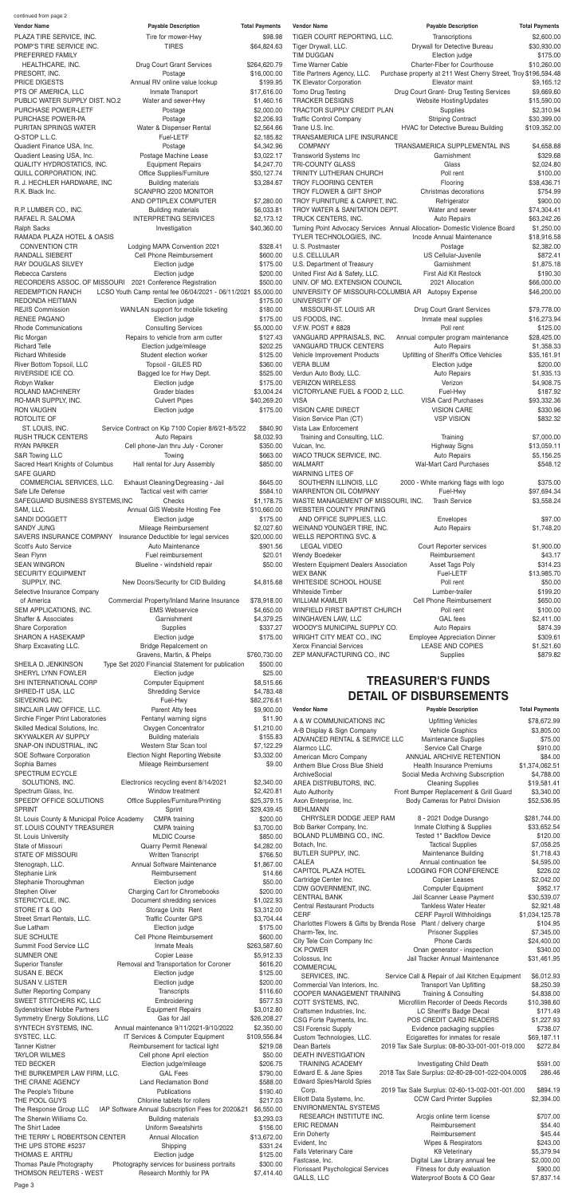| <b>Vendor Name</b>                                        | <b>Payable Description</b>                                    | <b>Total Payments</b> | <b>Vendor Name</b>                                                | <b>Payable Description</b>                                                 | <b>Total Payments</b>       |
|-----------------------------------------------------------|---------------------------------------------------------------|-----------------------|-------------------------------------------------------------------|----------------------------------------------------------------------------|-----------------------------|
| PLAZA TIRE SERVICE, INC.                                  | Tire for mower-Hwy                                            | \$98.98               | TIGER COURT REPORTING, LLC.                                       | Transcriptions                                                             | \$2,600.00                  |
| POMP'S TIRE SERVICE INC.                                  | <b>TIRES</b>                                                  | \$64,824.63           | Tiger Drywall, LLC.                                               | Drywall for Detective Bureau                                               | \$30,930.00                 |
| PREFERRED FAMILY                                          |                                                               |                       | <b>TIM DUGGAN</b>                                                 | Election judge                                                             | \$175.00                    |
| HEALTHCARE, INC.                                          | <b>Drug Court Grant Services</b>                              | \$264,620.79          | Time Warner Cable                                                 | Charter-Fiber for Courthouse                                               | \$10,260.00                 |
| PRESORT, INC.                                             | Postage                                                       | \$16,000.00           | Title Partners Agency, LLC.                                       | Purchase property at 211 West Cherry Street, Troy \$196,594.48             |                             |
| PRICE DIGESTS                                             | Annual RV online value lookup                                 | \$199.95              | <b>TK Elevator Corporation</b>                                    | Elevator maint                                                             | \$9,165.12                  |
| PTS OF AMERICA, LLC                                       | Inmate Transport                                              | \$17,616.00           | Tomo Drug Testing                                                 | Drug Court Grant- Drug Testing Services                                    | \$9,669.60                  |
| PUBLIC WATER SUPPLY DIST. NO.2                            | Water and sewer-Hwy                                           | \$1,460.16            | <b>TRACKER DESIGNS</b>                                            | Website Hosting/Updates                                                    | \$15,590.00                 |
| PURCHASE POWER-LETF                                       | Postage                                                       | \$2,000.00            | TRACTOR SUPPLY CREDIT PLAN                                        | Supplies                                                                   | \$2,310.94                  |
| PURCHASE POWER-PA                                         | Postage                                                       | \$2,206.93            | <b>Traffic Control Company</b>                                    | <b>Striping Contract</b>                                                   | \$30,399.00                 |
| PURITAN SPRINGS WATER                                     | Water & Dispenser Rental                                      | \$2,564.66            | Trane U.S. Inc.                                                   | HVAC for Detective Bureau Building                                         | \$109,352.00                |
| Q-STOP L.L.C.                                             | Fuel-LETF                                                     | \$2,185.82            | TRANSAMERICA LIFE INSURANCE                                       |                                                                            |                             |
| Quadient Finance USA, Inc.                                | Postage                                                       | \$4,342.96            | <b>COMPANY</b>                                                    | TRANSAMERICA SUPPLEMENTAL INS                                              | \$4,658.88                  |
| Quadient Leasing USA, Inc.                                | Postage Machine Lease                                         | \$3,022.17            | Transworld Systems Inc                                            | Garnishment                                                                | \$329.68                    |
|                                                           |                                                               |                       |                                                                   |                                                                            |                             |
| QUALITY HYDROSTATICS, INC.                                | <b>Equipment Repairs</b>                                      | \$4,247.70            | TRI-COUNTY GLASS                                                  | Glass                                                                      | \$2,024.80                  |
| QUILL CORPORATION, INC.                                   | Office Supplies/Furniture                                     | \$50,127.74           | TRINITY LUTHERAN CHURCH                                           | Poll rent                                                                  | \$100.00                    |
| R. J. HECHLER HARDWARE, INC                               | <b>Building materials</b>                                     | \$3,284.67            | TROY FLOORING CENTER                                              | Flooring                                                                   | \$38,436.71                 |
| R.K. Black Inc.                                           | SCANPRO 2200 MONITOR                                          |                       | TROY FLOWER & GIFT SHOP                                           | Christmas decorations                                                      | \$754.99                    |
|                                                           | AND OPTIPLEX COMPUTER                                         | \$7,280.00            | TROY FURNITURE & CARPET, INC.                                     | Refrigerator                                                               | \$900.00                    |
| R.P. LUMBER CO., INC.                                     | <b>Building materials</b>                                     | \$6,033.81            | TROY WATER & SANITATION DEPT.                                     | Water and sewer                                                            | \$74,304.41                 |
| RAFAEL R. SALOMA                                          | <b>INTERPRETING SERVICES</b>                                  | \$2,173.12            | TRUCK CENTERS, INC.                                               | Auto Repairs                                                               | \$63,242.26                 |
| <b>Ralph Sacks</b>                                        | Investigation                                                 | \$40,360.00           |                                                                   | Turning Point Advocacy Services Annual Allocation- Domestic Violence Board | \$1,250.00                  |
| RAMADA PLAZA HOTEL & OASIS                                |                                                               |                       | TYLER TECHNOLOGIES, INC.                                          | Incode Annual Maintenance                                                  | \$18,916.58                 |
| <b>CONVENTION CTR</b>                                     | Lodging MAPA Convention 2021                                  | \$328.41              | U. S. Postmaster                                                  | Postage                                                                    | \$2,382.00                  |
| RANDALL SIEBERT                                           | Cell Phone Reimbursement                                      | \$600.00              | <b>U.S. CELLULAR</b>                                              | US Cellular-Juvenile                                                       | \$872.41                    |
| <b>RAY DOUGLAS SILVEY</b>                                 | Election judge                                                | \$175.00              | U.S. Department of Treasury                                       | Garnishment                                                                | \$1,875.18                  |
| Rebecca Carstens                                          | Election judge                                                | \$200.00              | United First Aid & Safety, LLC.                                   | First Aid Kit Restock                                                      | \$190.30                    |
| RECORDERS ASSOC. OF MISSOURI 2021 Conference Registration |                                                               | \$500.00              | UNIV. OF MO. EXTENSION COUNCIL                                    | 2021 Allocation                                                            | \$66,000.00                 |
| <b>REDEMPTION RANCH</b>                                   | LCSO Youth Camp rental fee 06/04/2021 - 06/11/2021 \$5,000.00 |                       | UNIVERSITY OF MISSOURI-COLUMBIA AR                                | <b>Autopsy Expense</b>                                                     | \$46,200.00                 |
| REDONDA HEITMAN                                           | Election judge                                                | \$175.00              | UNIVERSITY OF                                                     |                                                                            |                             |
| <b>REJIS Commission</b>                                   | WAN/LAN support for mobile ticketing                          | \$180.00              | MISSOURI-ST. LOUIS AR                                             | Drug Court Grant Services                                                  | \$79,778.00                 |
| RENEE PAGANO                                              | Election judge                                                | \$175.00              | US FOODS, INC.                                                    | Inmate meal supplies                                                       | \$16,273.94                 |
| <b>Rhode Communications</b>                               | <b>Consulting Services</b>                                    | \$5,000.00            | V.F.W. POST # 8828                                                | Poll rent                                                                  | \$125.00                    |
| Ric Morgan                                                | Repairs to vehicle from arm cutter                            | \$127.43              | VANGUARD APPRAISALS, INC.                                         | Annual computer program maintenance                                        | \$28,425.00                 |
| <b>Richard Telle</b>                                      | Election judge/mileage                                        | \$202.25              | VANGUARD TRUCK CENTERS                                            | <b>Auto Repairs</b>                                                        | \$1,358.33                  |
|                                                           |                                                               |                       | Vehicle Improvement Products                                      |                                                                            |                             |
| <b>Richard Whiteside</b><br>River Bottom Topsoil, LLC     | Student election worker<br>Topsoil - GILES RD                 | \$125.00<br>\$360.00  | <b>VERA BLUM</b>                                                  | Upfitting of Sheriff's Office Vehicles<br>Election judge                   | \$35,161.91<br>\$200.00     |
| RIVERSIDE ICE CO.                                         | Bagged Ice for Hwy Dept.                                      | \$525.00              | Verdun Auto Body, LLC.                                            | <b>Auto Repairs</b>                                                        | \$1,935.13                  |
| Robyn Walker                                              | Election judge                                                | \$175.00              | <b>VERIZON WIRELESS</b>                                           | Verizon                                                                    | \$4,908.75                  |
|                                                           |                                                               |                       |                                                                   |                                                                            |                             |
| ROLAND MACHINERY<br>RO-MAR SUPPLY, INC.                   | Grader blades                                                 | \$3,004.24            | VICTORYLANE FUEL & FOOD 2, LLC.                                   | Fuel-Hwy<br><b>VISA Card Purchases</b>                                     | \$187.92                    |
|                                                           | <b>Culvert Pipes</b>                                          | \$40,269.20           | <b>VISA</b>                                                       |                                                                            | \$93,332.36                 |
| <b>RON VAUGHN</b>                                         | Election judge                                                | \$175.00              | VISION CARE DIRECT                                                | <b>VISION CARE</b>                                                         | \$330.96                    |
| ROTOLITE OF                                               |                                                               | \$840.90              | Vision Service Plan (CT)                                          | <b>VSP VISION</b>                                                          | \$832.32                    |
| ST. LOUIS, INC.                                           | Service Contract on Kip 7100 Copier 8/6/21-8/5/22             |                       | Vista Law Enforcement                                             |                                                                            |                             |
| <b>RUSH TRUCK CENTERS</b>                                 | <b>Auto Repairs</b>                                           | \$8,032.93            | Training and Consulting, LLC.                                     | Training                                                                   | \$7,000.00                  |
| <b>RYAN PARKER</b>                                        | Cell phone-Jan thru July - Coroner                            | \$350.00              | Vulcan, Inc.                                                      | <b>Highway Signs</b>                                                       | \$13,059.11                 |
| S&R Towing LLC                                            | Towing                                                        | \$663.00              | WACO TRUCK SERVICE, INC.                                          | Auto Repairs                                                               | \$5,156.25                  |
| Sacred Heart Knights of Columbus                          | Hall rental for Jury Assembly                                 | \$850.00              | <b>WALMART</b>                                                    | <b>Wal-Mart Card Purchases</b>                                             | \$548.12                    |
| <b>SAFE GUARD</b>                                         |                                                               |                       | <b>WARNING LITES OF</b>                                           |                                                                            |                             |
| COMMERCIAL SERVICES, LLC.                                 | Exhaust Cleaning/Degreasing - Jail                            | \$645.00              | SOUTHERN ILLINOIS, LLC                                            | 2000 - White marking flags with logo                                       | \$375.00                    |
| Safe Life Defense                                         | Tactical vest with carrier                                    | \$584.10              | WARRENTON OIL COMPANY                                             | Fuel-Hwy                                                                   | \$97,694.34                 |
| SAFEGUARD BUSINESS SYSTEMS, INC                           | Checks                                                        | \$1,178.75            | WASTE MANAGEMENT OF MISSOURI, INC.                                | <b>Trash Service</b>                                                       | \$3,558.24                  |
| SAM, LLC.                                                 | Annual GIS Website Hosting Fee                                | \$10,660.00           | WEBSTER COUNTY PRINTING                                           |                                                                            |                             |
| SANDI DOGGETT                                             | Election judge                                                | \$175.00              | AND OFFICE SUPPLIES, LLC.                                         | Envelopes                                                                  | \$97.00                     |
| <b>SANDY JUNG</b>                                         | Mileage Reimbursement                                         | \$2,027.60            | WEINAND YOUNGER TIRE, INC.                                        | Auto Repairs                                                               | \$1,748.20                  |
| SAVERS INSURANCE COMPANY                                  | Insurance Deductible for legal services                       | \$20,000.00           | <b>WELLS REPORTING SVC. &amp;</b>                                 |                                                                            |                             |
| Scott's Auto Service                                      | Auto Maintenance                                              | \$901.56              | <b>LEGAL VIDEO</b>                                                | Court Reporter services                                                    | \$1,900.00                  |
| Sean Flynn                                                | Fuel reimbursement                                            | \$20.01               | Wendy Boedeker                                                    | Reimbursement                                                              | \$43.17                     |
| <b>SEAN WINGRON</b>                                       | Blueline - windshield repair                                  | \$50.00               | Western Equipment Dealers Association                             | Asset Tags Poly                                                            | \$314.23                    |
| <b>SECURITY EQUIPMENT</b>                                 |                                                               |                       | <b>WEX BANK</b>                                                   | Fuel-LETF                                                                  | \$13,985.70                 |
| SUPPLY, INC.                                              | New Doors/Security for CID Building                           | \$4,815.68            | WHITESIDE SCHOOL HOUSE                                            | Poll rent                                                                  | \$50.00                     |
| Selective Insurance Company                               |                                                               |                       | <b>Whiteside Timber</b>                                           | Lumber-trailer                                                             | \$199.20                    |
| of America                                                | Commercial Property/Inland Marine Insurance                   | \$78,918.00           | <b>WILLIAM KAMLER</b>                                             | Cell Phone Reimbursement                                                   | \$650.00                    |
|                                                           |                                                               |                       |                                                                   |                                                                            |                             |
|                                                           |                                                               |                       |                                                                   | Poll rent                                                                  |                             |
| SEM APPLICATIONS, INC.                                    | <b>EMS Webservice</b>                                         | \$4,650.00            | WINFIELD FIRST BAPTIST CHURCH                                     |                                                                            | \$100.00                    |
| Shaffer & Associates                                      | Garnishment                                                   | \$4,379.25            | WINGHAVEN LAW, LLC                                                | <b>GAL</b> fees                                                            | \$2,411.00                  |
| Share Corporation                                         | Supplies                                                      | \$337.27              | WOODY'S MUNICIPAL SUPPLY CO.                                      | Auto Repairs                                                               | \$874.39                    |
| <b>SHARON A HASEKAMP</b>                                  | Election judge                                                | \$175.00              | WRIGHT CITY MEAT CO., INC                                         | Employee Appreciation Dinner                                               | \$309.61                    |
| Sharp Excavating LLC.                                     | Bridge Repalcement on                                         |                       | <b>Xerox Financial Services</b>                                   | <b>LEASE AND COPIES</b>                                                    | \$1,521.60                  |
|                                                           | Gravens, Martin, & Phelps                                     | \$760,730.00          | ZEP MANUFACTURING CO., INC                                        | Supplies                                                                   | \$879.82                    |
| SHEILA D. JENKINSON                                       | Type Set 2020 Financial Statement for publication             | \$500.00              |                                                                   |                                                                            |                             |
| SHERYL LYNN FOWLER                                        | Election judge                                                | \$25.00               |                                                                   |                                                                            |                             |
| SHI INTERNATIONAL CORP                                    | <b>Computer Equipment</b>                                     | \$8,515.66            |                                                                   | <b>TREASURER'S FUNDS</b>                                                   |                             |
| SHRED-IT USA, LLC                                         | <b>Shredding Service</b>                                      | \$4,783.48            |                                                                   | <b>DETAIL OF DISBURSEMENTS</b>                                             |                             |
| SIEVEKING INC.                                            | Fuel-Hwy                                                      | \$82,276.61           |                                                                   |                                                                            |                             |
| SINCLAIR LAW OFFICE, LLC.                                 | Parent Atty fees                                              | \$9,900.00            | <b>Vendor Name</b>                                                | <b>Payable Description</b>                                                 | <b>Total Payments</b>       |
| Sirchie Finger Print Laboratories                         | Fentanyl warning signs                                        | \$11.90               | A & W COMMUNICATIONS INC                                          | <b>Upfitting Vehicles</b>                                                  | \$78,672.99                 |
| Skilled Medical Solutions, Inc.                           | Oxygen Concentrator                                           | \$1,210.00            | A-B Display & Sign Company                                        | Vehicle Graphics                                                           | \$3,805.00                  |
| SKYWALKER AV SUPPLY                                       | <b>Building materials</b>                                     | \$155.83              | ADVANCED RENTAL & SERVICE LLC                                     | Maintenance Supplies                                                       | \$75.00                     |
| SNAP-ON INDUSTRIAL, INC                                   | Western Star Scan tool                                        | \$7,122.29            | Alarmco LLC.                                                      | Service Call Charge                                                        | \$910.00                    |
| <b>SOE Software Corporation</b>                           | <b>Election Night Reporting Website</b>                       | \$3,332.00            | American Micro Company                                            | ANNUAL ARCHIVE RETENTION                                                   | \$84.00                     |
| Sophia Barnes                                             | Mileage Reimbursement                                         | \$9.00                | Anthem Blue Cross Blue Shield                                     | <b>Health Insurance Premiums</b>                                           | \$1,374,062.51              |
| SPECTRUM ECYCLE                                           |                                                               |                       | <b>ArchiveSocial</b>                                              | Social Media Archiving Subscription                                        | \$4,788.00                  |
| SOLUTIONS, INC.                                           | Electronics recycling event 8/14/2021                         | \$2,340.00            | AREA DISTRIBUTORS, INC.                                           | <b>Cleaning Supplies</b>                                                   | \$19,581.41                 |
| Spectrum Glass, Inc.                                      | Window treatment                                              | \$2,420.81            | <b>Auto Authority</b>                                             | Front Bumper Replacement & Grill Guard                                     | \$3,340.00                  |
| SPEEDY OFFICE SOLUTIONS                                   | Office Supplies/Furniture/Printing                            | \$25,379.15           | Axon Enterprise, Inc.                                             | Body Cameras for Patrol Division                                           | \$52,536.95                 |
| <b>SPRINT</b>                                             | Sprint                                                        | \$29,439.45           | <b>BEHLMANN</b><br>CHRYSLER DODGE JEEP RAM                        |                                                                            |                             |
| St. Louis County & Municipal Police Academy               | <b>CMPA</b> training                                          | \$200.00              |                                                                   | 8 - 2021 Dodge Durango<br>Inmate Clothing & Supplies                       | \$281,744.00<br>\$33,652.54 |
| ST. LOUIS COUNTY TREASURER                                | <b>CMPA</b> training                                          | \$3,700.00            | Bob Barker Company, Inc.                                          | Tested 1" Backflow Device                                                  |                             |
| St. Louis University                                      | <b>MLDIC Course</b>                                           | \$850.00              | BOLAND PLUMBING CO., INC.<br>Botach, Inc.                         |                                                                            | \$120.00<br>\$7,058.25      |
| State of Missouri                                         | Quarry Permit Renewal                                         | \$4,282.00            | BUTLER SUPPLY, INC.                                               | <b>Tactical Supplies</b><br>Maintenance Building                           | \$1,718.43                  |
| <b>STATE OF MISSOURI</b>                                  | <b>Written Transcript</b>                                     | \$766.50              | CALEA                                                             | Annual continuation fee                                                    | \$4,595.00                  |
| Stenograph, LLC.                                          | Annual Software Maintenance                                   | \$1,867.00            | CAPITOL PLAZA HOTEL                                               | LODGING FOR CONFERENCE                                                     | \$226.02                    |
| Stephanie Link                                            | Reimbursement                                                 | \$14.66               | Cartridge Center Inc.                                             | <b>Copier Leases</b>                                                       | \$2,042.00                  |
| Stephanie Thoroughman                                     | Election judge                                                | \$50.00               | CDW GOVERNMENT, INC.                                              | <b>Computer Equipment</b>                                                  | \$952.17                    |
| Stephen Oliver                                            | Charging Cart for Chromebooks                                 | \$200.00              | <b>CENTRAL BANK</b>                                               | Jail Scanner Lease Payment                                                 | \$30,539.07                 |
| STERICYCLE, INC.                                          | Document shredding services                                   | \$1,022.93            | <b>Central Restaurant Products</b>                                | <b>Tankless Water Heater</b>                                               | \$2,921.48                  |
| STORE IT & GO                                             | Storage Units Rent                                            | \$3,312.00            | <b>CERF</b>                                                       | <b>CERF Payroll Withholdings</b>                                           | \$1,034,125.78              |
| Street Smart Rentals, LLC.                                | <b>Traffic Counter GPS</b>                                    | \$3,704.44            | Charlottes Flowers & Gifts by Brenda Rose Plant / delivery charge |                                                                            | \$104.95                    |
| Sue Latham                                                | Election judge                                                | \$175.00              | Charm-Tex, Inc.                                                   | <b>Prisoner Supplies</b>                                                   | \$7,345.00                  |
| SUE SCHULTE                                               | Cell Phone Reimbursement                                      | \$600.00              | City Tele Coin Company Inc                                        | <b>Phone Cards</b>                                                         | \$24,400.00                 |
| Summit Food Service LLC                                   | Inmate Meals                                                  | \$263,587.60          | CK POWER                                                          | Onan generator - inspection                                                | \$340.00                    |
| <b>SUMNER ONE</b>                                         | Copier Lease                                                  | \$5,912.33            | Colossus, Inc                                                     | Jail Tracker Annual Maintenance                                            | \$31,461.95                 |
| <b>Superior Transfer</b>                                  | Removal and Transportation for Coroner                        | \$616.20              | <b>COMMERCIAL</b>                                                 |                                                                            |                             |
| SUSAN E. BECK                                             | Election judge                                                | \$125.00              | SERVICES, INC.                                                    | Service Call & Repair of Jail Kitchen Equipment                            | \$6,012.93                  |
| <b>SUSAN V. LISTER</b>                                    | Election judge                                                | \$200.00              | Commercial Van Interiors, Inc.                                    | <b>Transport Van Upfitting</b>                                             | \$8,250.39                  |
| <b>Sutter Reporting Company</b>                           | Transcripts                                                   | \$116.60              | COOPER MANAGEMENT TRAINING                                        | Training & Consulting                                                      | \$4,838.00                  |
| SWEET STITCHERS KC, LLC                                   | Embroidering                                                  | \$577.53              | COTT SYSTEMS, INC.                                                | Microfilim Recorder of Deeds Records                                       | \$10,398.60                 |
| Sydenstricker Nobbe Partners                              | <b>Equipment Repairs</b>                                      | \$3,012.80            | Craftsmen Industries, Inc.                                        | LC Sheriff's Badge Decal                                                   | \$171.49                    |
| Symmetry Energy Solutions, LLC                            | Gas for Jail                                                  | \$26,208.27           | CSG Forte Payments, Inc.                                          | POS CREDIT CARD READERS                                                    | \$1,227.93                  |
| SYNTECH SYSTEMS, INC.                                     | Annual maintenance 9/11/2021-9/10/2022                        | \$2,350.00            | <b>CSI Forensic Supply</b>                                        | Evidence packaging supplies                                                | \$738.07                    |
| SYSTEC, LLC.                                              | IT Services & Computer Equipment                              | \$109,556.84          | Custom Technologies, LLC.                                         | Ecigarettes for inmates for resale                                         | \$69,187.11                 |
| <b>Tanner Kistner</b>                                     | Reimbursement for tactical light                              | \$219.08              | Dean Bartels                                                      | 2019 Tax Sale Surplus: 08-80-33-001-001-019.000                            | \$272.84                    |
| <b>TAYLOR WILMES</b>                                      | Cell phone April election                                     | \$50.00               | <b>DEATH INVESTIGATION</b>                                        |                                                                            |                             |
| <b>TED BECKER</b>                                         | Election judge/mileage                                        | \$206.75              | <b>TRAINING ACADEMY</b>                                           | Investigating Child Death                                                  | \$591.00                    |
| THE BURKEMPER LAW FIRM, LLC.                              | <b>GAL Fees</b>                                               | \$790.00              | Edward E. & Jane Spies                                            | 2018 Tax Sale Surplus: 02-80-28-001-022-004.000\$                          | 286.46                      |
| THE CRANE AGENCY                                          | <b>Land Reclamation Bond</b>                                  | \$588.00              | <b>Edward Spies/Harold Spies</b>                                  |                                                                            |                             |
| The People's Tribune                                      | Publications                                                  | \$190.40              | Corp.                                                             | 2019 Tax Sale Surplus: 02-60-13-002-001-001.000                            | \$894.19                    |
| THE POOL GUYS                                             | Chlorine tablets for rollers                                  | \$217.03              | Elliott Data Systems, Inc.                                        | <b>CCW Card Printer Supplies</b>                                           | \$2,394.00                  |
| The Response Group LLC                                    | IAP Software Annual Subscription Fees for 2020&21             | \$6,550.00            | ENVIRONMENTAL SYSTEMS                                             |                                                                            |                             |
| The Sherwin Williams Co.                                  | <b>Building materials</b>                                     | \$3,293.03            | RESEARCH INSTITUTE INC.                                           | Arcgis online term license                                                 | \$707.00                    |
| The Shirt Ladee                                           | <b>Uniform Sweatshirts</b>                                    | \$156.00              | <b>ERIC REDMAN</b>                                                | Reimbursement                                                              | \$54.40                     |
| THE TERRY L ROBERTSON CENTER                              | <b>Annual Allocation</b>                                      | \$13,672.00           | Erin Doherty                                                      | Reimbursement                                                              | \$45.44                     |
| THE UPS STORE #5237                                       | Shipping                                                      | \$331.24              | Evident, Inc.                                                     | Wipes & Respirators                                                        | \$243.00                    |
| THOMAS E. ARTRU                                           | Election judge                                                | \$125.00              | Falls Veterinary Care                                             | K9 Veterinary                                                              | \$5,379.94                  |
| Thomas Paule Photography                                  | Photography services for business portraits                   | \$300.00              | Fastcase, Inc.                                                    | Digital Law Library annual fee                                             | \$2,000.00                  |
| THOMSON REUTERS - WEST                                    | Research Monthly for PA                                       | \$7,414.40            | Florissant Psychological Services<br>GALLS, LLC                   | Fitness for duty evaluation<br>Waterproof Boots & CO Gear                  | \$900.00<br>\$7,837.14      |

continued from page 2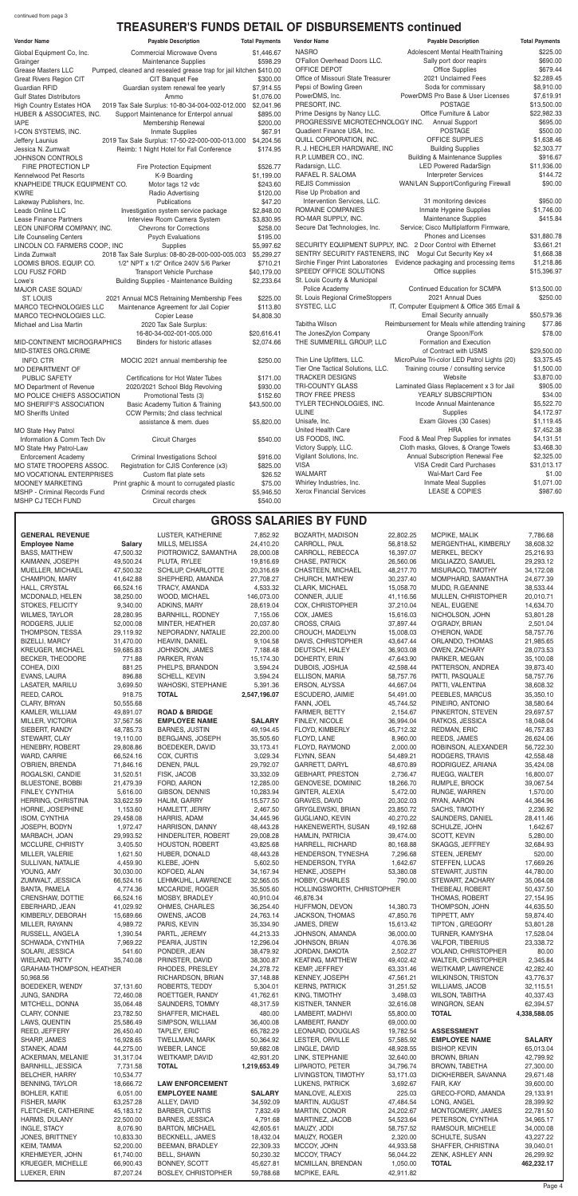## **GROSS SALARIES BY FUND**

| <b>Vendor Name</b>              | <b>Payable Description</b>                                         | <b>Total Payments</b> |
|---------------------------------|--------------------------------------------------------------------|-----------------------|
| Global Equipment Co, Inc.       | <b>Commercial Microwave Ovens</b>                                  | \$1,446.67            |
| Grainger                        | <b>Maintenance Supplies</b>                                        | \$598.29              |
| <b>Grease Masters LLC</b>       | Pumped, cleaned and resealed grease trap for jail kitchen \$410.00 |                       |
| <b>Great Rivers Region CIT</b>  | CIT Banquet Fee                                                    | \$300.00              |
| Guardian RFID                   | Guardian system renewal fee yearly                                 | \$7,914.55            |
| <b>Gulf States Distributors</b> | Ammo                                                               | \$1,076.00            |
| <b>High Country Estates HOA</b> | 2019 Tax Sale Surplus: 10-80-34-004-002-012.000                    | \$2,041.96            |
| HUBER & ASSOCIATES, INC.        | Support Maintenance for Enterpol annual                            | \$895.00              |
| <b>IAPE</b>                     | Membership Renewal                                                 | \$200.00              |
| I-CON SYSTEMS, INC.             | <b>Inmate Supplies</b>                                             | \$67.91               |
| Jeffery Launius                 | 2019 Tax Sale Surplus: 17-50-22-000-000-013.000                    | \$4,204.56            |
| Jessica N. Zumwalt              | Reimb: 1 Night Hotel for Fall Conference                           | \$174.95              |
| <b>JOHNSON CONTROLS</b>         |                                                                    |                       |
| FIRE PROTECTION LP              | Fire Protection Equipment                                          | \$526.77              |
| Kennelwood Pet Resorts          | K-9 Boarding                                                       | \$1,199.00            |
| KNAPHEIDE TRUCK EQUIPMENT CO.   | Motor tags 12 vdc                                                  | \$243.60              |
| <b>KWRE</b>                     | Radio Advertising                                                  | \$120.00              |
| Lakeway Publishers, Inc.        | Publications                                                       | \$47.20               |
| Leads Online LLC                | Investigation system service package                               | \$2,848.00            |
| <b>Lease Finance Partners</b>   | Interview Room Camera System                                       | \$3,830.95            |
| LEON UNIFORM COMPANY, INC.      | <b>Chevrons for Corrections</b>                                    | \$258.00              |
| <b>Life Counseling Centers</b>  | <b>Psych Evaluations</b>                                           | \$195.00              |
| LINCOLN CO. FARMERS COOP., INC  | <b>Supplies</b>                                                    | \$5,997.62            |
| Linda Zumwalt                   | 2018 Tax Sale Surplus: 08-80-28-000-000-005.003                    | \$5,299.27            |
| LOOMIS BROS. EQUIP. CO.         | 1/2" NPT x 1/2" Orifice 240V 5/6 Parker                            | \$710.21              |
| LOU FUSZ FORD                   | Transport Vehicle Purchase                                         | \$40,179.00           |
| Lowe's                          | <b>Building Supplies - Maintenance Building</b>                    | \$2,233.64            |
| MAJOR CASE SQUAD/               |                                                                    |                       |
| <b>ST. LOUIS</b>                | 2021 Annual MCS Retraining Membership Fees                         | \$225.00              |
| MARCO TECHNOLOGIES LLC          | Maintenance Agreement for Jail Copier                              | \$113.80              |
| MARCO TECHNOLOGIES LLC.         | Copier Lease                                                       | \$4,808.30            |
| Michael and Lisa Martin         | 2020 Tax Sale Surplus:                                             |                       |
|                                 | 16-80-34-002-001-005.000                                           | \$20,616.41           |
| MID-CONTINENT MICROGRAPHICS     | Binders for historic atlases                                       | \$2,074.66            |
| MID-STATES ORG.CRIME            |                                                                    |                       |
| <b>INFO. CTR</b>                | MOCIC 2021 annual membership fee                                   | \$250.00              |
| <b>MO DEPARTMENT OF</b>         |                                                                    |                       |
| PUBLIC SAFETY                   | Certifications for Hot Water Tubes                                 | \$171.00              |
| <b>MO Department of Revenue</b> | 2020/2021 School Bldg Revolving                                    | \$930.00              |
| MO POLICE CHIEFS ASSOCIATION    | Promotional Tests (3)                                              | \$152.60              |
| <b>MO SHERIFF'S ASSOCIATION</b> | Basic Academy Tuition & Training                                   | \$43,500.00           |
| <b>MO Sheriffs United</b>       | CCW Permits; 2nd class technical                                   |                       |
|                                 | assistance & mem. dues                                             | \$5,820.00            |
| MO State Hwy Patrol             |                                                                    |                       |
| Information & Comm Tech Div     | <b>Circuit Charges</b>                                             | \$540.00              |
| MO State Hwy Patrol-Law         |                                                                    |                       |
| <b>Enforcement Academy</b>      | Criminal Investigations School                                     | \$916.00              |
| MO STATE TROOPERS ASSOC.        | Registration for CJIS Conference (x3)                              | \$825.00              |
| MO VOCATIONAL ENTERPRISES       | Custom flat plate sets                                             | \$26.52               |
| <b>MOONEY MARKETING</b>         | Print graphic & mount to corrugated plastic                        | \$75.00               |
| MSHP - Criminal Records Fund    | Criminal records check                                             | \$5,946.50            |

| <b>GENERAL REVENUE</b>              |                      | LUSTER, KATHERINE               | 7,852.92               | BOZARTH, MADISON               | 22,802.25              | MCPIKE, MALIK                       | 7,786.68               |
|-------------------------------------|----------------------|---------------------------------|------------------------|--------------------------------|------------------------|-------------------------------------|------------------------|
| <b>Employee Name</b>                | <b>Salary</b>        | MILLS, MELISSA                  | 24,410.20              | CARROLL, PAUL                  | 56,818.52              | MERGENTHAL, KIMBERLY                | 38,608.32              |
| <b>BASS, MATTHEW</b>                | 47,500.32            | PIOTROWICZ, SAMANTHA            | 28,000.08              | CARROLL, REBECCA               | 16,397.07              | MERKEL, BECKY                       | 25,216.93              |
| KAIMANN, JOSEPH                     | 49,500.24            | PLUTA, RYLEE                    | 19,816.69              | CHASE, PATRICK                 | 26,560.06              | MIGLIAZZO, SAMUEL                   | 29,293.12              |
| MUELLER, MICHAEL                    | 47,500.32            | SCHLUP, CHARLOTTE               | 20,316.69              | CHASTEEN, MICHAEL              | 48,217.70              | MISURACO, TIMOTHY                   | 34,172.08              |
| CHAMPION, MARY                      | 41,642.88            | SHEPHERD, AMANDA                | 27,708.27              | CHURCH, MATHEW                 | 30,237.40              | MOMPHARD, SAMANTHA                  | 24,677.39              |
| HALL, CRYSTAL                       | 66,524.16            | TRACY, AMANDA                   | 4,533.32               | CLARK, MICHAEL                 | 15,058.70              | MUDD, R.GEANINE                     | 38,533.44              |
| MCDONALD, HELEN                     | 38,250.00            | WOOD, MICHAEL                   | 146,073.00             | CONNER, JULIE                  | 41,116.56              | MULLEN, CHRISTOPHER                 | 20,010.71              |
| STOKES, FELICITY                    | 9,340.00             | ADKINS, MARY                    | 28,619.04              | COX, CHRISTOPHER               | 37,210.04              | NEAL, EUGENE                        | 14,634.70              |
| WILMES, TAYLOR                      | 28,280.95            | <b>BARNHILL, RODNEY</b>         | 7,155.06               | COX, JAMES                     | 15,616.03              | NICHOLSON, JOHN                     | 53,801.28              |
| RODGERS, JULIE                      | 52,000.08            | MINTER, HEATHER                 | 20,037.80              | CROSS, CRAIG                   | 37,897.44              | O'GRADY, BRIAN                      | 2,501.04               |
| THOMPSON, TESSA                     | 29,119.92            | NEPORADNY, NATALIE              | 22,200.00              | CROUCH, MADELYN                | 15,008.03              | O'HERON, WADE                       | 58,757.76              |
| <b>BIZELLI, MARCY</b>               | 31,470.00            | HEAVIN, DANIEL                  | 9,104.58               | DAVIS, CHRISTOPHER             | 43,647.44              | ORLANDO, THOMAS                     | 21,985.65              |
| KREUGER, MICHAEL                    | 59,685.83            | JOHNSON, JAMES                  | 7,188.48               | DEUTSCH, HALEY                 | 36,903.08              | OWEN, ZACHARY                       | 28,073.53              |
| <b>BECKER, THEODORE</b>             | 771.88               | PARKER, RYAN                    | 15,174.30              | DOHERTY, ERIN                  | 47,643.90              | PARKER, MEGAN                       | 35,100.08              |
| COHEA, DIXI                         | 881.25               | PHELPS, BRANDON                 | 3,594.24               | DUBOIS, JOSHUA                 | 42,598.44              | PATTERSON, ANDREA                   | 39,873.40              |
| EVANS, LAURA                        | 896.88               | SCHELL, KEVIN                   | 3,594.24               | ELLISON, MARIA                 | 58,757.76              | PATTI, PASQUALE                     | 58,757.76              |
| LASATER, MARILU                     | 3,699.50             | WAHOSKI, STEPHANIE              | 5,391.36               | ERSON, ALYSSA                  | 44,667.04              | PATTI, VALENTINA                    | 38,608.32              |
| REED, CAROL                         | 918.75               | <b>TOTAL</b>                    | 2,547,196.07           | ESCUDERO, JAIMIE               | 54,491.00              | PEEBLES, MARCUS                     | 35,350.10              |
| CLARY, BRYAN                        | 50,555.68            |                                 |                        | FANN, JOEL                     | 45,744.52              | PINEIRO, ANTONIO                    | 38,580.64              |
| KAMLER, WILLIAM                     | 49,891.07            | <b>ROAD &amp; BRIDGE</b>        |                        | FARMER, BETTY                  | 2,154.67               | PINKERTON, STEVEN                   | 29,697.57              |
| MILLER, VICTORIA                    | 37,567.56            | <b>EMPLOYEE NAME</b>            | <b>SALARY</b>          | FINLEY, NICOLE                 | 36,994.04              | RATKOS, JESSICA                     | 18,048.04              |
| SIEBERT, RANDY                      | 48,785.73            | <b>BARNES, JUSTIN</b>           | 49,194.45              | FLOYD, KIMBERLY                | 45,712.32              | REDMAN, ERIC                        | 46,757.83              |
| STEWART, CLAY                       | 19,110.00            | BERGJANS, JOSEPH                | 35,505.60              | FLOYD, LANE                    | 8,960.00               | REEDS, JAMES                        | 26,624.06              |
| <b>HENEBRY, ROBERT</b>              | 29,808.86            | BOEDEKER, DAVID                 | 33,173.41              | FLOYD, RAYMOND                 | 2,000.00               | ROBINSON, ALEXANDER                 | 56,722.30              |
| WARD, CARRIE                        | 66,524.16            | COX, CURTIS                     | 3,029.34               | FLYNN, SEAN                    | 54,489.21              | RODGERS, TRAVIS                     | 42,558.48              |
| O'BRIEN, BRENDA                     | 71,846.16            | DENEN, PAUL                     | 29,792.07              | GARRETT, DARYL                 | 48,670.89              | RODRIGUEZ, ARIANA                   | 35,424.08              |
| ROGALSKI, CANDIE                    | 31,520.51            | FISK, JACOB                     | 33,332.09              | <b>GEBHART, PRESTON</b>        | 2,736.47               | RUEGG, WALTER                       | 16,800.07              |
| BLUESTONE, BOBBI                    | 21,479.39            | FORD, AARON                     | 12,285.00              | GENOVESE, DOMINIC              | 18,266.70              | RUMPLE, BROCK                       | 39,067.54              |
| FINLEY, CYNTHIA                     | 5,616.00             | GIBSON, DENNIS                  | 10,283.94              | GINTER, ALEXIA                 | 5,472.00               | RUNGE, WARREN                       | 1,570.00               |
| HERRING, CHRISTINA                  | 33,622.59            | HALIM, GARRY                    | 15,577.50              | GRAVES, DAVID                  | 20,302.03              | RYAN, AARON                         | 44,364.96              |
| HORNE, JOSEPHINE                    | 1,153.60             | HAMLETT, JERRY                  | 2,467.50               | GRYGLEWSKI, BRIAN              | 23,850.72              | SACHS, TIMOTHY                      | 2,236.92               |
| ISOM, CYNTHIA                       | 29,458.08            | HARRIS, ADAM                    | 34,445.96              | GUGLIANO, KEVIN                | 40,270.22              | SAUNDERS, DANIEL                    | 28,411.46              |
| JOSEPH, BODYN                       | 1,972.47             | HARRISON, DANNY                 | 48,443.28              | HAKENEWERTH, SUSAN             | 49,192.68              | SCHULZE, JOHN                       | 1,642.67               |
| MARBACH, JOAN                       | 29,993.52            | HINDERLITER, ROBERT             | 29,008.28              | HAMLIN, PATRICIA               | 39,474.00              | SCOTT, KEVIN                        | 5,280.00               |
| MCCLURE, CHRISTY                    | 3,405.50             | HOUSTON, ROBERT                 | 43,825.68              | HARRELL, RICHARD               | 80,168.88              | SKAGGS, JEFFREY                     | 32,684.93              |
| MILLER, VALERIE                     | 1,621.50             | HUBER, DONALD                   | 48,443.28              | HENDERSON, TYNESHA             | 7,296.68               | STEEN, JEREMY                       | 520.00                 |
| SULLIVAN, NATALIE                   | 4,459.90             | KLEBE, JOHN                     | 5,602.50               | <b>HENDERSON, TYRA</b>         | 1,642.67               | STEFFEN, LUCAS                      | 17,669.26              |
| YOUNG, AMY                          | 30,030.00            | KOFOED, ALAN                    | 34,167.94              | HENKE, JOSEPH                  | 53,380.08              | STEWART, JUSTIN                     | 44,780.00              |
| ZUMWALT, JESSICA                    | 66,524.16            | LEHMKUHL, LAWRENCE              | 32,565.05              | HOBBY, CHARLES                 | 790.00                 | STEWART, ZACHARY                    | 35,064.08              |
| <b>BANTA, PAMELA</b>                | 4,774.36             | MCCARDIE, ROGER                 | 35,505.60              | HOLLINGSWORTH, CHRISTOPHER     |                        | THEBEAU, ROBERT                     | 50,437.50              |
| CRENSHAW, DOTTIE                    | 66,524.16            | MOSBY, BRADLEY                  | 40,910.04              | 46,876.34                      |                        | THOMAS, ROBERT                      | 27,154.95              |
| EBERHARD, JEAN                      | 41,029.92            | OHMES, CHARLES<br>OWENS, JACOB  | 36,254.40<br>24,763.14 | HUFFMON, DEVON                 | 14,380.73              | THOMPSON, JOHN                      | 44,635.50<br>59,874.40 |
| KIMBERLY, DEBORAH<br>MILLER, RAYANN | 15,689.66            |                                 | 35,334.90              | JACKSON, THOMAS<br>JAMES, DREW | 47,850.76<br>15,613.42 | TIPPETT, AMY                        | 53,801.28              |
| RUSSELL, ANGELA                     | 4,989.72<br>1,390.54 | PARIS, KEVIN                    |                        | JOHNSON, AMANDA                |                        | TIPTON, GREGORY                     |                        |
| SCHWADA, CYNTHIA                    | 7,969.22             | PARTL, JEREMY<br>PEARIA, JUSTIN | 44,213.33<br>12,296.04 | JOHNSON, BRIAN                 | 36,000.00<br>4,076.36  | TURNER, KAMYSHA<br>VALFOR, TIBERIUS | 17,528.04<br>23,338.72 |
| SOLARI, JESSICA                     | 541.60               | PONDER, JEAN                    | 38,479.92              | JORDAN, DAKOTA                 | 2,502.27               | VOLAND, CHRISTOPHER                 | 80.00                  |
| WIELAND, PATTY                      | 35,740.08            | PRINSTER, DAVID                 | 38,300.87              | <b>KEATING, MATTHEW</b>        | 49,402.42              | WALTER, CHRISTOPHER                 | 2,345.84               |
| GRAHAM-THOMPSON, HEATHER            |                      | RHODES, PRESLEY                 | 24,278.72              | KEMP, JEFFREY                  | 63,331.46              | <b>WEITKAMP, LAWRENCE</b>           | 42,282.40              |
| 50,968.56                           |                      | RICHARDSON, BRIAN               | 37,148.88              | KENNEY, JOSEPH                 | 47,561.21              | <b>WILKINSON, TRISTON</b>           | 43,776.37              |
| BOEDEKER, WENDY                     | 37,131.60            | ROBERTS, TEDDY                  | 5,304.01               | <b>KERNS, PATRICK</b>          | 31,251.52              | WILLIAMS, JACOB                     | 32,115.51              |
| JUNG, SANDRA                        | 72,460.08            | ROETTGER, RANDY                 | 41,762.61              | KING, TIMOTHY                  | 3,498.03               | WILSON, TABITHA                     | 40,337.43              |
| MITCHELL, DONNA                     | 35,064.48            | SAUNDERS, TOMMY                 | 48,317.59              | KISTNER, TANNER                | 32,616.08              | WINGRON, SEAN                       | 62,394.57              |
| CLARY, CONNIE                       | 23,782.50            | SHAFFER, MICHAEL                | 480.00                 | LAMBERT, MADHVI                | 55,800.00              | <b>TOTAL</b>                        | 4,338,588.05           |
| LAWS, QUENTIN                       | 25,586.49            | SIMPSON, WILLIAM                | 36,400.08              | LAMBERT, RANDY                 | 69,000.00              |                                     |                        |
| REED, JEFFERY                       | 26,450.40            | <b>TAPLEY, ERIC</b>             | 65,782.29              | LEONARD, DOUGLAS               | 19,782.54              | <b>ASSESSMENT</b>                   |                        |
| SHARP, JAMES                        | 16,928.65            | TWELLMAN, MARK                  | 50,364.92              | LESTER, ORVILLE                | 57,585.92              | <b>EMPLOYEE NAME</b>                | <b>SALARY</b>          |
| STANEK, ADAM                        | 44,275.00            | WEBER, LANCE                    | 59,682.08              | LINGLE, DAVID                  | 48,928.55              | <b>BISHOP, KEVIN</b>                | 65,013.04              |
| <b>ACKERMAN, MELANIE</b>            | 31,317.04            | WEITKAMP, DAVID                 | 42,931.20              | LINK, STEPHANIE                | 32,640.00              | BROWN, BRIAN                        | 42,799.92              |
| <b>BARNHILL, JESSICA</b>            | 7,731.58             | <b>TOTAL</b>                    | 1,219,653.49           | LIPAROTO, PETER                | 34,796.74              | BROWN, TABETHA                      | 27,300.00              |
| BELCHER, HARRY                      | 10,534.77            |                                 |                        | LIVINGSTON, TIMOTHY            | 53,171.03              | DICKHERBER, SAVANNA                 | 29,671.48              |
| BENNING, TAYLOR                     | 18,666.72            | <b>LAW ENFORCEMENT</b>          |                        | LUKENS, PATRICK                | 3,692.67               | FAIR, KAY                           | 39,600.00              |
| <b>BOHLER, KATIE</b>                | 6,051.00             | <b>EMPLOYEE NAME</b>            | <b>SALARY</b>          | MANLOVE, ALEXIS                | 225.03                 | GRECO-FORD, AMANDA                  | 29,133.91              |
| FISHER, MARK                        | 63,257.28            | ALLEY, DAVID                    | 34,592.09              | MARTIN, AUGUST                 | 47,484.54              | LONG, ANGEL                         | 28,399.92              |
| FLETCHER, CATHERINE                 | 45,183.12            | <b>BARBER, CURTIS</b>           | 7,832.49               | MARTIN, CONOR                  | 24,202.67              | MONTGOMERY, JAMES                   | 22,781.50              |
| HARMS, DULANY                       | 22,500.00            | <b>BARNES, JESSICA</b>          | 4,791.68               | MARTINEZ, JACOB                | 54,523.64              | PETERSON, CYNTHIA                   | 34,965.17              |
| INGLE, STACY                        | 8,076.90             | <b>BARTON, MICHAEL</b>          | 42,605.61              | MAUZY, JODI                    | 58,757.52              | RAMSOUR, MICHELE                    | 34,000.08              |
| <b>JONES, BRITTNEY</b>              | 10,833.30            | BECKNELL, JAMES                 | 18,432.04              | MAUZY, ROGER                   | 2,320.00               | SCHULTE, SUSAN                      | 43,227.22              |
| KEIM, TAMMA                         | 52,200.00            | BEEMAN, BRADLEY                 | 22,309.33              | MCCOY, JOHN                    | 44,933.58              | SHAFFER, CHRISTINA                  | 39,040.01              |
| KREHMEYER, JOHN                     | 61,740.00            | <b>BELL, SHAWN</b>              | 50,230.32              | MCCOY, TRACY                   | 56,044.22              | ZENK, ASHLEY ANN                    | 26,299.92              |
| <b>KRUEGER, MICHELLE</b>            | 66,900.43            | BONNEY, SCOTT                   | 45,627.81              | MCMILLAN, BRENDAN              | 1,050.00               | <b>TOTAL</b>                        | 462,232.17             |
| LUEKER, ERIN                        | 87,207.24            | <b>BOSLEY, CHRISTOPHER</b>      | 59,788.68              | MCPIKE, EARL                   | 42,911.82              |                                     |                        |

| <b>Vendor Name</b><br><b>Payable Description</b><br><b>Total Payments</b><br><b>Vendor Name</b><br><b>Payable Description</b>                                  | <b>Total Payments</b> |
|----------------------------------------------------------------------------------------------------------------------------------------------------------------|-----------------------|
| <b>NASRO</b><br>Adolescent Mental Health Training<br>Global Equipment Co, Inc.<br><b>Commercial Microwave Ovens</b><br>\$1,446.67                              | \$225.00              |
| O'Fallon Overhead Doors LLC.<br>Sally port door reapirs<br>Maintenance Supplies<br>\$598.29<br>Grainger                                                        | \$690.00              |
| OFFICE DEPOT<br><b>Office Supplies</b><br>Pumped, cleaned and resealed grease trap for jail kitchen \$410.00<br><b>Grease Masters LLC</b>                      | \$679.44              |
| Office of Missouri State Treasurer<br>2021 Unclaimed Fees<br>CIT Banquet Fee<br>\$300.00<br><b>Great Rivers Region CIT</b>                                     | \$2,289.45            |
| Soda for commissary<br>Pepsi of Bowling Green<br>Guardian system renewal fee yearly<br>\$7,914.55<br><b>Guardian RFID</b>                                      | \$8,910.00            |
| PowerDMS Pro Base & User Licenses<br>PowerDMS, Inc.<br><b>Gulf States Distributors</b><br>Ammo<br>\$1,076.00                                                   | \$7,619.91            |
| PRESORT, INC.<br><b>POSTAGE</b><br>\$2,041.96<br><b>High Country Estates HOA</b><br>2019 Tax Sale Surplus: 10-80-34-004-002-012.000                            | \$13,500.00           |
| Prime Designs by Nancy LLC.<br>Office Furniture & Labor<br>HUBER & ASSOCIATES, INC.<br>Support Maintenance for Enterpol annual<br>\$895.00                     | \$22,982.33           |
| PROGRESSIVE MICROTECHNOLOGY INC.<br><b>Annual Support</b><br>Membership Renewal<br>\$200.00<br><b>IAPE</b>                                                     | \$695.00              |
| Quadient Finance USA, Inc.<br><b>POSTAGE</b><br>I-CON SYSTEMS, INC.<br>\$67.91<br>Inmate Supplies                                                              | \$500.00              |
| OFFICE SUPPLIES<br>QUILL CORPORATION, INC.<br>2019 Tax Sale Surplus: 17-50-22-000-000-013.000<br>\$4,204.56<br>Jeffery Launius                                 | \$1,638.46            |
| R. J. HECHLER HARDWARE, INC<br><b>Building Supplies</b><br>Reimb: 1 Night Hotel for Fall Conference<br>\$174.95<br>Jessica N. Zumwalt                          | \$2,303.77            |
| <b>Building &amp; Maintenance Supplies</b><br>R.P. LUMBER CO., INC.<br><b>JOHNSON CONTROLS</b>                                                                 | \$916.67              |
| <b>LED Powered RadarSign</b><br>Radarsign, LLC.<br>FIRE PROTECTION LP<br>\$526.77<br><b>Fire Protection Equipment</b>                                          | \$11,936.00           |
| <b>Interpreter Services</b><br>RAFAEL R. SALOMA<br>Kennelwood Pet Resorts<br>K-9 Boarding<br>\$1,199.00                                                        | \$144.72              |
| <b>REJIS Commission</b><br>WAN/LAN Support/Configuring Firewall<br>KNAPHEIDE TRUCK EQUIPMENT CO.<br>Motor tags 12 vdc<br>\$243.60                              | \$90.00               |
| Rise Up Probation and<br><b>KWRE</b><br>Radio Advertising<br>\$120.00                                                                                          |                       |
| Intervention Services, LLC.<br>31 monitoring devices<br>Publications<br>\$47.20<br>Lakeway Publishers, Inc.                                                    | \$950.00              |
| ROMAINE COMPANIES<br>Inmate Hygeine Supplies<br>Leads Online LLC<br>\$2,848.00<br>Investigation system service package                                         | \$1,746.00            |
| Maintenance Supplies<br>RO-MAR SUPPLY, INC.<br>Interview Room Camera System<br>\$3,830.95<br>Lease Finance Partners                                            | \$415.84              |
| Service; Cisco Multiplatform Firmware,<br>Secure Dat Technologies, Inc.<br>LEON UNIFORM COMPANY, INC.<br><b>Chevrons for Corrections</b><br>\$258.00           |                       |
| Phones and Licenses<br>\$195.00<br><b>Life Counseling Centers</b><br><b>Psych Evaluations</b>                                                                  | \$31,880.78           |
| SECURITY EQUIPMENT SUPPLY, INC. 2 Door Control with Ethernet<br>LINCOLN CO. FARMERS COOP., INC<br>\$5,997.62<br>Supplies                                       | \$3,661.21            |
| SENTRY SECURITY FASTENERS, INC<br>Mogul Cut Security Key x4<br>Linda Zumwalt<br>2018 Tax Sale Surplus: 08-80-28-000-000-005.003<br>\$5,299.27                  | \$1,668.38            |
| Sirchie Finger Print Laboratories<br>Evidence packaging and processing items<br>1/2" NPT x 1/2" Orifice 240V 5/6 Parker<br>\$710.21<br>LOOMIS BROS. EQUIP. CO. | \$1,218.86            |
| SPEEDY OFFICE SOLUTIONS<br>Office supplies<br>LOU FUSZ FORD<br>Transport Vehicle Purchase<br>\$40,179.00                                                       | \$15,396.97           |
| St. Louis County & Municipal<br>Building Supplies - Maintenance Building<br>\$2,233.64<br>Lowe's                                                               |                       |
| Continued Education for SCMPA<br>Police Academy<br>MAJOR CASE SQUAD/                                                                                           | \$13,500.00           |
| St. Louis Regional CrimeStoppers<br>2021 Annual Dues<br><b>ST. LOUIS</b><br>2021 Annual MCS Retraining Membership Fees<br>\$225.00                             | \$250.00              |
| IT, Computer Equipment & Office 365 Email &<br>SYSTEC, LLC<br>MARCO TECHNOLOGIES LLC<br>Maintenance Agreement for Jail Copier<br>\$113.80                      |                       |
| Email Security annually<br>MARCO TECHNOLOGIES LLC.<br>Copier Lease<br>\$4,808.30                                                                               | \$50,579.36           |
| Reimbursement for Meals while attending training<br>Tabitha Wilson<br>2020 Tax Sale Surplus:<br>Michael and Lisa Martin                                        | \$77.86               |
| Orange Spoon/Fork<br>The JonesZylon Company<br>16-80-34-002-001-005.000<br>\$20,616.41                                                                         | \$78.00               |
| THE SUMMERILL GROUP, LLC<br>Formation and Execution<br>MID-CONTINENT MICROGRAPHICS<br>Binders for historic atlases<br>\$2,074.66                               |                       |
| of Contract with USMS<br>MID-STATES ORG.CRIME                                                                                                                  | \$29,500.00           |
| Thin Line Upfitters, LLC.<br>MicroPulse Tri-color LED Patrol Lights (20)<br><b>INFO. CTR</b><br>\$250.00<br>MOCIC 2021 annual membership fee                   | \$3,375.45            |
| Tier One Tactical Solutions, LLC.<br>Training course / consulting service<br>MO DEPARTMENT OF                                                                  | \$1,500.00            |
| TRACKER DESIGNS<br>Website<br>PUBLIC SAFETY<br>Certifications for Hot Water Tubes<br>\$171.00                                                                  | \$3,870.00            |
| <b>TRI-COUNTY GLASS</b><br>Laminated Glass Replacement x 3 for Jail<br>2020/2021 School Bldg Revolving<br>MO Department of Revenue<br>\$930.00                 | \$905.00              |
| TROY FREE PRESS<br>YEARLY SUBSCRIPTION<br>MO POLICE CHIEFS ASSOCIATION<br>\$152.60<br>Promotional Tests (3)                                                    | \$34.00               |
| TYLER TECHNOLOGIES, INC.<br>Incode Annual Maintenance<br>MO SHERIFF'S ASSOCIATION<br>Basic Academy Tuition & Training<br>\$43,500.00                           | \$5,522.70            |
| <b>ULINE</b><br><b>Supplies</b><br><b>MO Sheriffs United</b><br>CCW Permits; 2nd class technical                                                               | \$4,172.97            |
| Unisafe, Inc.<br>Exam Gloves (30 Cases)<br>assistance & mem. dues<br>\$5,820.00                                                                                | \$1,119.45            |
| United Health Care<br>HRA<br>MO State Hwy Patrol                                                                                                               | \$7,452.38            |
| Food & Meal Prep Supplies for inmates<br>US FOODS, INC.<br>Information & Comm Tech Div<br><b>Circuit Charges</b><br>\$540.00                                   | \$4,131.51            |
| Cloth masks, Gloves, & Orange Towels<br>Victory Supply, LLC.<br>MO State Hwy Patrol-Law                                                                        | \$3,468.30            |
| Annual Subscription Renewal Fee<br>Vigilant Solutions, Inc.<br><b>Enforcement Academy</b><br>Criminal Investigations School<br>\$916.00                        | \$2,325.00            |
| <b>VISA</b><br>VISA Credit Card Purchases<br>MO STATE TROOPERS ASSOC.<br>Registration for CJIS Conference (x3)<br>\$825.00                                     | \$31,013.17           |
| <b>WALMART</b><br>Wal-Mart Card Fee<br>Custom flat plate sets<br><b>MO VOCATIONAL ENTERPRISES</b><br>\$26.52                                                   | \$1.00                |
| Whirley Industries, Inc.<br>Inmate Meal Supplies<br>MOONEY MARKETING<br>Print graphic & mount to corrugated plastic<br>\$75.00                                 | \$1,071.00            |
| Xerox Financial Services<br>LEASE & COPIES<br>MSHP - Criminal Records Fund<br>Criminal records check<br>\$5,946.50                                             | \$987.60              |
| MSHP CJ TECH FUND<br>Circuit charges<br>\$540.00                                                                                                               |                       |

## **TREASURER'S FUNDS DETAIL OF DISBURSEMENTS continued**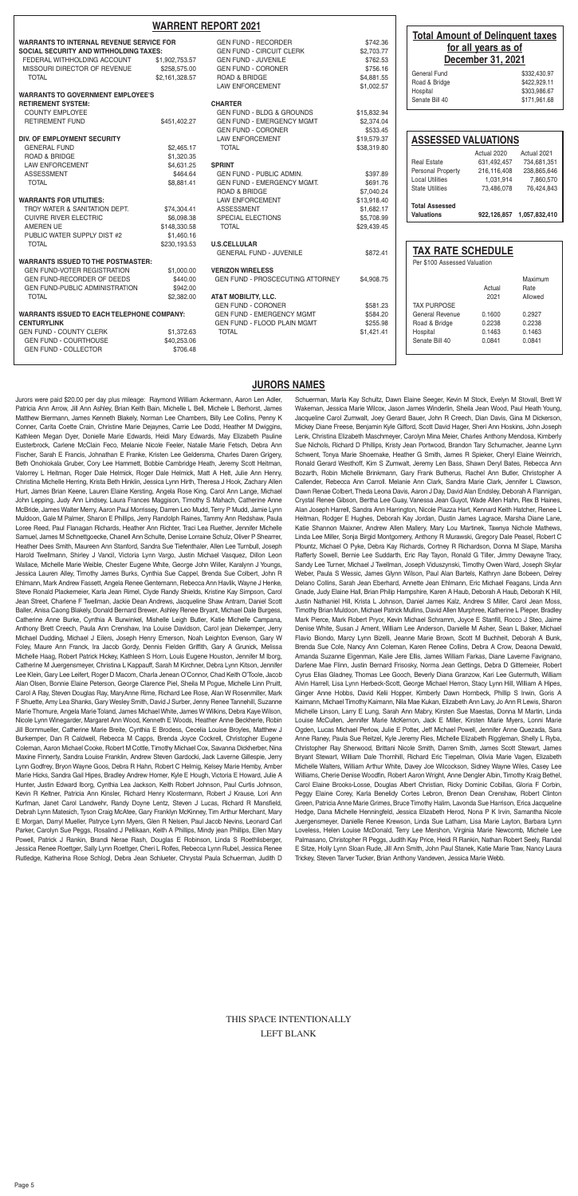Jurors were paid \$20.00 per day plus mileage: Raymond William Ackermann, Aaron Len Adler, Patricia Ann Arrow, Jill Ann Ashley, Brian Keith Bain, Michelle L Bell, Michele L Berhorst, James Matthew Biermann, James Kenneth Blakely, Norman Lee Chambers, Billy Lee Collins, Penny K Conner, Carita Coette Crain, Christine Marie Dejaynes, Carrie Lee Dodd, Heather M Dwiggins, Kathleen Megan Dyer, Donielle Marie Edwards, Heidi Mary Edwards, May Elizabeth Pauline Eusterbrock, Carlene McClain Feco, Melanie Nicole Feeler, Natalie Marie Fetsch, Debra Ann Fischer, Sarah E Francis, Johnathan E Franke, Kristen Lee Geldersma, Charles Daren Grigery, Beth Onohiokala Gruber, Cory Lee Hammett, Bobbie Cambridge Heath, Jeremy Scott Heitman, Valorrey L Heitman, Roger Dale Helmick, Roger Dale Helmick, Matt A Helt, Julie Ann Henry, Christina Michelle Herring, Krista Beth Hinklin, Jessica Lynn Hirth, Theresa J Hook, Zachary Allen Hurt, James Brian Keene, Lauren Elaine Kersting, Angela Rose King, Carol Ann Lange, Michael John Lepping, Judy Ann Lindsey, Laura Frances Maggison, Timothy S Mahach, Catherine Anne McBride, James Walter Merry, Aaron Paul Morrissey, Darren Leo Mudd, Terry P Mudd, Jamie Lynn Muldoon, Gale M Palmer, Sharon E Phillips, Jerry Randolph Raines, Tammy Ann Redshaw, Paula Loree Reed, Paul Flanagan Richards, Heather Ann Richter, Traci Lea Ruether, Jennifer Michelle Samuel, James M Schnettgoecke, Chanell Ann Schulte, Denise Lorraine Schulz, Oliver P Shearrer, Heather Dees Smith, Maureen Ann Stanford, Sandra Sue Tiefenthaler, Allen Lee Turnbull, Joseph Harold Twellmann, Shirley J Vancil, Victoria Lynn Vargo, Justin Michael Vasquez, Dillon Leon Wallace, Michelle Marie Weible, Chester Eugene White, George John Willer, Karalynn J Youngs, Jessica Lauren Alley, Timothy James Burks, Cynthia Sue Cappel, Brenda Sue Colbert, John R Ehlmann, Mark Andrew Fassett, Angela Renee Gentemann, Rebecca Ann Havlik, Wayne J Henke, Steve Ronald Plackemeier, Karla Jean Rimel, Clyde Randy Shields, Kristine Kay Simpson, Carol Jean Street, Charlene F Twellman, Jackie Dean Andrews, Jacqueline Shaw Antram, Daniel Scott Baller, Anisa Caong Blakely, Donald Bernard Brewer, Ashley Renee Bryant, Michael Dale Burgess, Catherine Anne Burke, Cynthia A Burwinkel, Mishelle Leigh Butler, Katie Michelle Campana, Anthony Brett Creech, Paula Ann Crenshaw, Ina Louise Davidson, Carol jean Diekemper, Jerry Michael Dudding, Michael J Eilers, Joseph Henry Emerson, Noah Leighton Evenson, Gary W Foley, Maure Ann Franck, Ira Jacob Gordy, Dennis Fielden Griffith, Gary A Grunick, Melissa Michelle Haag, Robert Patrick Hickey, Kathleen S Horn, Louis Eugene Houston, Jennifer M Iborg, Catherine M Juergensmeyer, Christina L Kappauff, Sarah M Kirchner, Debra Lynn Kitson, Jennifer Lee Klein, Gary Lee Leifert, Roger D Macom, Charla Jenean O'Connor, Chad Keith O'Toole, Jacob Alan Olsen, Bonnie Elaine Peterson, George Clarence Piel, Sheila M Pogue, Michelle Linn Pruitt, Carol A Ray, Steven Douglas Ray, MaryAnne Rime, Richard Lee Rose, Alan W Rosenmiller, Mark F Shuette, Amy Lea Shanks, Gary Wesley Smith, David J Surber, Jenny Renee Tannehill, Suzanne Marie Thomure, Angela Marie Toland, James Michael White, James W Wilkins, Debra Kaye Wilson, Nicole Lynn Winegarder, Margaret Ann Wood, Kenneth E Woods, Heather Anne Beckherle, Robin Jill Bornmueller, Catherine Marie Breite, Cynthia E Brodess, Cecelia Louise Broyles, Matthew J Burkemper, Dan R Caldwell, Rebecca M Capps, Brenda Joyce Cockrell, Christopher Eugene Coleman, Aaron Michael Cooke, Robert M Cottle, Timothy Michael Cox, Savanna Dickherber, Nina Maxine Finnerty, Sandra Louise Franklin, Andrew Steven Gardocki, Jack Laverne Gillespie, Jerry Lynn Godfrey, Bryon Wayne Goos, Debra R Hahn, Robert C Helmig, Kelsey Marie Hemby, Amber Marie Hicks, Sandra Gail Hipes, Bradley Andrew Homer, Kyle E Hough, Victoria E Howard, Julie A Hunter, Justin Edward Iborg, Cynthia Lea Jackson, Keith Robert Johnson, Paul Curtis Johnson, Kevin R Keltner, Patricia Ann Kinsler, Richard Henry Klostermann, Robert J Krause, Lori Ann Kurfman, Janet Carol Landwehr, Randy Doyne Lentz, Steven J Lucas, Richard R Mansfield, Debrah Lynn Matesich, Tyson Craig McAtee, Gary Franklyn McKinney, Tim Arthur Merchant, Mary E Morgan, Darryl Mueller, Patryce Lynn Myers, Glen R Nelsen, Paul Jacob Nevins, Leonard Carl Parker, Carolyn Sue Peggs, Rosalind J Pellikaan, Keith A Phillips, Mindy jean Phillips, Ellen Mary Powell, Patrick J Rankin, Brandi Nerae Rash, Douglas E Robinson, Linda S Roethlisberger, Jessica Renee Roettger, Sally Lynn Roettger, Cheri L Rolfes, Rebecca Lynn Rubel, Jessica Renee Rutledge, Katherina Rose Schlogl, Debra Jean Schlueter, Chrystal Paula Schuerman, Judith D

Schuerman, Marla Kay Schultz, Dawn Elaine Seeger, Kevin M Stock, Evelyn M Stovall, Brett W Wakeman, Jessica Marie Wilcox, Jason James Winderlin, Sheila Jean Wood, Paul Heath Young, Jacqueline Carol Zumwalt, Joey Gerard Bauer, John R Creech, Dian Davis, Gina M Dickerson, Mickey Diane Freese, Benjamin Kyle Gifford, Scott David Hager, Sheri Ann Hoskins, John Joseph Lenk, Christina Elizabeth Maschmeyer, Carolyn Mina Meier, Charles Anthony Mendosa, Kimberly Sue Nichols, Richard D Phillips, Kristy Jean Portwood, Brandon Tary Schumacher, Jeanne Lynn Schwent, Tonya Marie Shoemake, Heather G Smith, James R Spieker, Cheryl Elaine Weinrich, Ronald Gerard Westhoff, Kim S Zumwalt, Jeremy Len Bass, Shawn Deryl Bates, Rebecca Ann Bozarth, Robin Michelle Brinkmann, Gary Frank Butherus, Rachel Ann Butler, Christopher A Callender, Rebecca Ann Carroll. Melanie Ann Clark, Sandra Marie Clark, Jennifer L Clawson, Dawn Renae Colbert, Theda Leona Davis, Aaron J Day, David Alan Endsley, Deborah A Flannigan, Crystal Renee Gibson, Bertha Lee Guay, Vanessa Jean Guyot, Wade Allen Hahn, Rex B Haines, Alan Joseph Harrell, Sandra Ann Harrington, Nicole Piazza Hart, Kennard Keith Hatcher, Renee L Heitman, Rodger E Hughes, Deborah Kay Jordan, Dustin James Lagrace, Marsha Diane Lane, Katie Shannon Maixner, Andrew Allen Mallery, Mary Lou Martinek, Tawnya Nichole Mathews, Linda Lee Miller, Sonja Birgid Montgomery, Anthony R Murawski, Gregory Dale Peasel, Robert C Pfountz, Michael O Pyke, Debra Kay Richards, Cortney R Richardson, Donna M Slape, Marsha Rafferty Sowell, Bernie Lee Suddarth, Eric Ray Tayon, Ronald G Tiller, Jimmy Dewayne Tracy, Sandy Lee Turner, Michael J Twellman, Joseph Viduszynski, Timothy Owen Ward, Joseph Skylar Weber, Paula S Wessic, James Glynn Wilson, Paul Alan Bartels, Kathryn Jane Bobeen, Delrey Delano Collins, Sarah Jean Eberhard, Annette Jean Ehlmann, Eric Michael Feagans, Linda Ann Gnade, Judy Elaine Hall, Brian Philip Hampshire, Karen A Haub, Deborah A Haub, Deborah K Hill, Justin Nathaniel Hill, Krista L Johnson, Daniel James Kalz, Andrew S Miller, Carol Jean Moss, Timothy Brian Muldoon, Michael Patrick Mullins, David Allen Murphree, Katherine L Pieper, Bradley Mark Pierce, Mark Robert Pryor, Kevin Michael Schramm, Joyce E Stanfill, Rocco J Steo, Jaime Denise White, Susan J Ament, William Lee Anderson, Danielle M Asher, Sean L Baker, Michael Flavio Biondo, Marcy Lynn Bizelli, Jeanne Marie Brown, Scott M Buchheit, Deborah A Bunk, Brenda Sue Cole, Nancy Ann Coleman, Karen Renee Collins, Debra A Crow, Deaona Dewald, Amanda Suzanne Eigenman, Kalie Jere Ellis, James William Farkas, Diane Laverne Favignano, Darlene Mae Flinn, Justin Bernard Frisosky, Norma Jean Gettings, Debra D Gittemeier, Robert Cyrus Elias Gladney, Thomas Lee Gooch, Beverly Diana Granzow, Kari Lee Gutermuth, William Alvin Harrell, Lisa Lynn Herbeck-Scott, George Michael Herron, Stacy Lynn Hill, William A Hipes, Ginger Anne Hobbs, David Kelii Hopper, Kimberly Dawn Hornbeck, Phillip S Irwin, Goris A Kaimann, Michael Timothy Kaimann, Nila Mae Kukan, Elizabeth Ann Lavy, Jo Ann R Lewis, Sharon Michelle Linson, Larry E Lung, Sarah Ann Mabry, Kirsten Sue Maestas, Donna M Martin, Linda Louise McCullen, Jennifer Marie McKernon, Jack E Miller, Kirsten Marie Myers, Lonni Marie Ogden, Lucas Michael Perlow, Julie E Potter, Jeff Michael Powell, Jennifer Anne Quezada, Sara Anne Raney, Paula Sue Reitzel, Kyle Jeremy Ries, Michelle Elizabeth Riggleman, Shelly L Ryba, Christopher Ray Sherwood, Brittani Nicole Smith, Darren Smith, James Scott Stewart, James Bryant Stewart, William Dale Thornhill, Richard Eric Tiepelman, Olivia Marie Vagen, Elizabeth Michelle Walters, William Arthur White, Davey Joe Wilcockson, Sidney Wayne Wiles, Casey Lee Williams, Cherie Denise Woodfin, Robert Aaron Wright, Anne Dengler Albin, Timothy Kraig Bethel, Carol Elaine Brooks-Losse, Douglas Albert Christian, Ricky Dominic Cobillas, Gloria F Corbin, Peggy Elaine Corey, Karla Benelidy Cortes Lebron, Brenon Dean Crenshaw, Robert Clinton Green, Patricia Anne Marie Grimes, Bruce Timothy Halim, Lavonda Sue Harrison, Erica Jacqueline Hedge, Dana Michelle Henningfeld, Jessica Elizabeth Herod, Nona P K Irvin, Samantha Nicole Juergensmeyer, Danielle Renee Krewson, Linda Sue Latham, Lisa Marie Layton, Barbara Lynn Loveless, Helen Louise McDonald, Terry Lee Mershon, Virginia Marie Newcomb, Michele Lee Palmasano, Christopher R Peggs, Judith Kay Price, Heidi R Rankin, Nathan Robert Seely, Randal E Sitze, Holly Lynn Sloan Rude, Jill Ann Smith, John Paul Stanek, Katie Marie Traw, Nancy Laura Trickey, Steven Tarver Tucker, Brian Anthony Vandeven, Jessica Marie Webb.

|                                                   |                | <b>WARRENT REPORT 2021</b>           |             |                                         |                          |                           |
|---------------------------------------------------|----------------|--------------------------------------|-------------|-----------------------------------------|--------------------------|---------------------------|
|                                                   |                |                                      |             | <b>Total Amount of Delinquent taxes</b> |                          |                           |
| <b>WARRANTS TO INTERNAL REVENUE SERVICE FOR</b>   |                | <b>GEN FUND - RECORDER</b>           | \$742.36    |                                         |                          |                           |
| <b>SOCIAL SECURITY AND WITHHOLDING TAXES:</b>     |                | <b>GEN FUND - CIRCUIT CLERK</b>      | \$2,703.77  |                                         | for all years as of      |                           |
| FEDERAL WITHHOLDING ACCOUNT                       | \$1,902,753.57 | <b>GEN FUND - JUVENILE</b>           | \$762.53    |                                         | <b>December 31, 2021</b> |                           |
| MISSOURI DIRECTOR OF REVENUE                      | \$258,575.00   | <b>GEN FUND - CORONER</b>            | \$756.16    | General Fund                            |                          |                           |
| <b>TOTAL</b>                                      | \$2,161,328.57 | <b>ROAD &amp; BRIDGE</b>             | \$4,881.55  |                                         |                          | \$332,430.97              |
|                                                   |                | <b>LAW ENFORCEMENT</b>               | \$1,002.57  | Road & Bridge                           |                          | \$422,929.11              |
| <b>WARRANTS TO GOVERNMENT EMPLOYEE'S</b>          |                |                                      |             | Hospital                                |                          | \$303,986.67              |
| <b>RETIREMENT SYSTEM:</b>                         |                | <b>CHARTER</b>                       |             | Senate Bill 40                          |                          | \$171,961.68              |
| <b>COUNTY EMPLOYEE</b>                            |                | <b>GEN FUND - BLDG &amp; GROUNDS</b> | \$15,832.94 |                                         |                          |                           |
| <b>RETIREMENT FUND</b>                            | \$451,402.27   | <b>GEN FUND - EMERGENCY MGMT</b>     | \$2,374.04  |                                         |                          |                           |
|                                                   |                | <b>GEN FUND - CORONER</b>            | \$533.45    |                                         |                          |                           |
| DIV. OF EMPLOYMENT SECURITY                       |                | <b>LAW ENFORCEMENT</b>               | \$19,579.37 | <b>ASSESSED VALUATIONS</b>              |                          |                           |
| <b>GENERAL FUND</b>                               | \$2,465.17     | <b>TOTAL</b>                         | \$38,319.80 |                                         |                          |                           |
| <b>ROAD &amp; BRIDGE</b>                          | \$1,320,35     |                                      |             |                                         | Actual 2020              | Actual 2021               |
| <b>LAW ENFORCEMENT</b>                            | \$4,631.25     | <b>SPRINT</b>                        |             | <b>Real Estate</b>                      | 631,492,457              | 734,681,351               |
| <b>ASSESSMENT</b>                                 | \$464.64       | <b>GEN FUND - PUBLIC ADMIN.</b>      | \$397.89    | Personal Property                       | 216,116,408              | 238,865,646               |
| <b>TOTAL</b>                                      | \$8,881.41     | <b>GEN FUND - EMERGENCY MGMT.</b>    | \$691.76    | <b>Local Utilities</b>                  | 1,031,914                | 7,860,570                 |
|                                                   |                | <b>ROAD &amp; BRIDGE</b>             | \$7,040.24  | <b>State Utilities</b>                  | 73,486,078               | 76,424,843                |
| <b>WARRANTS FOR UTILITIES:</b>                    |                | <b>LAW ENFORCEMENT</b>               | \$13,918.40 |                                         |                          |                           |
| TROY WATER & SANITATION DEPT.                     | \$74,304.41    | <b>ASSESSMENT</b>                    | \$1,682.17  | <b>Total Assessed</b>                   |                          |                           |
| <b>CUIVRE RIVER ELECTRIC</b>                      | \$6,098.38     | <b>SPECIAL ELECTIONS</b>             | \$5,708.99  | <b>Valuations</b>                       |                          | 922,126,857 1,057,832,410 |
| AMEREN UE                                         | \$148,330.58   | <b>TOTAL</b>                         | \$29,439.45 |                                         |                          |                           |
| PUBLIC WATER SUPPLY DIST #2                       | \$1,460.16     |                                      |             |                                         |                          |                           |
| <b>TOTAL</b>                                      | \$230,193.53   | <b>U.S.CELLULAR</b>                  |             |                                         |                          |                           |
|                                                   |                | <b>GENERAL FUND - JUVENILE</b>       | \$872.41    | <b>TAX RATE SCHEDULE</b>                |                          |                           |
| <b>WARRANTS ISSUED TO THE POSTMASTER:</b>         |                |                                      |             | Per \$100 Assessed Valuation            |                          |                           |
| <b>GEN FUND-VOTER REGISTRATION</b>                | \$1,000.00     | <b>VERIZON WIRELESS</b>              |             |                                         |                          |                           |
| GEN FUND-RECORDER OF DEEDS                        | \$440.00       | GEN FUND - PROSCECUTING ATTORNEY     | \$4,908.75  |                                         |                          | Maximum                   |
| <b>GEN FUND-PUBLIC ADMINISTRATION</b>             | \$942.00       |                                      |             |                                         | Actual                   | Rate                      |
| <b>TOTAL</b>                                      | \$2,382.00     | <b>AT&amp;T MOBILITY, LLC.</b>       |             |                                         | 2021                     | Allowed                   |
|                                                   |                | <b>GEN FUND - CORONER</b>            | \$581.23    | <b>TAX PURPOSE</b>                      |                          |                           |
| <b>WARRANTS ISSUED TO EACH TELEPHONE COMPANY:</b> |                | <b>GEN FUND - EMERGENCY MGMT</b>     | \$584.20    | General Revenue                         | 0.1600                   | 0.2927                    |
| <b>CENTURYLINK</b>                                |                | GEN FUND - FLOOD PLAIN MGMT          | \$255.98    | Road & Bridge                           | 0.2238                   | 0.2238                    |
| <b>GEN FUND - COUNTY CLERK</b>                    | \$1,372.63     | <b>TOTAL</b>                         | \$1,421.41  | Hospital                                | 0.1463                   | 0.1463                    |
| <b>GEN FUND - COURTHOUSE</b>                      | \$40,253.06    |                                      |             | Senate Bill 40                          | 0.0841                   | 0.0841                    |
| <b>GEN FUND - COLLECTOR</b>                       | \$706.48       |                                      |             |                                         |                          |                           |
|                                                   |                |                                      |             |                                         |                          |                           |

#### **JURORS NAMES**

### THIS SPACE INTENTIONALLY LEFT BLANK